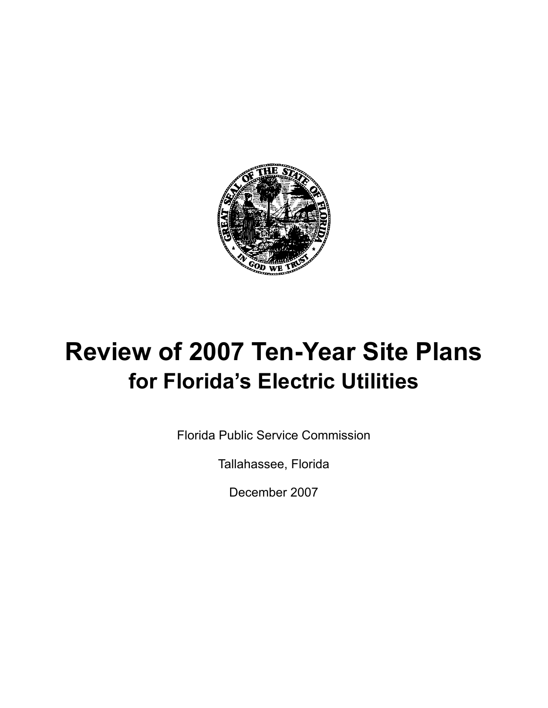

# **Review of 2007 Ten-Year Site Plans for Florida's Electric Utilities**

Florida Public Service Commission

Tallahassee, Florida

December 2007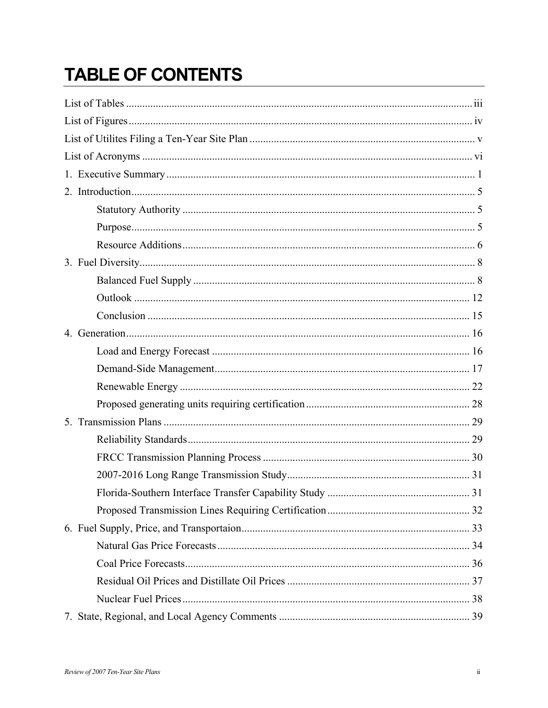# **TABLE OF CONTENTS**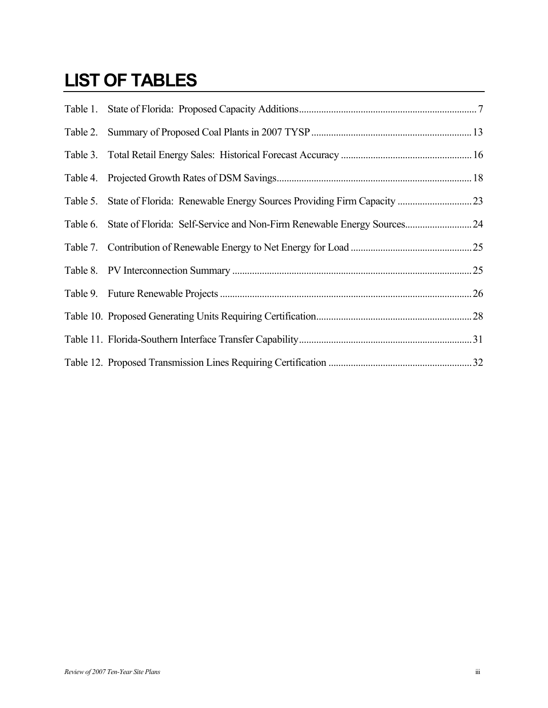## <span id="page-2-0"></span>**LIST OF TABLES**

| Table 5. |                                                                         |  |
|----------|-------------------------------------------------------------------------|--|
| Table 6. | State of Florida: Self-Service and Non-Firm Renewable Energy Sources 24 |  |
|          |                                                                         |  |
|          |                                                                         |  |
|          |                                                                         |  |
|          |                                                                         |  |
|          |                                                                         |  |
|          |                                                                         |  |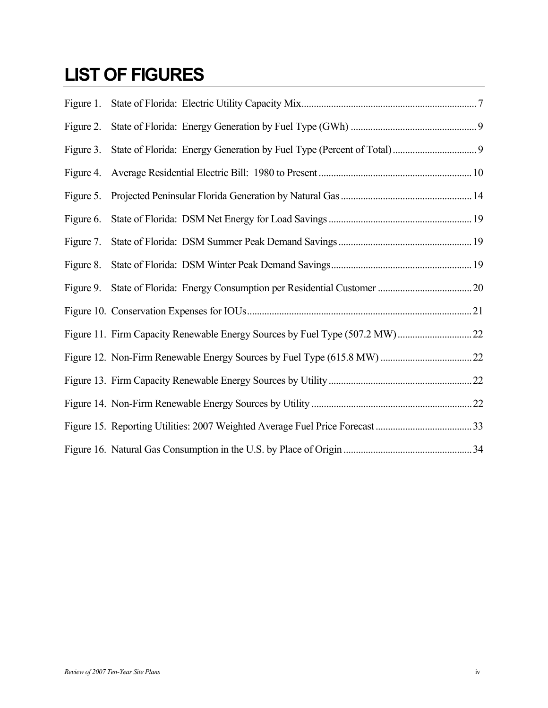# <span id="page-3-0"></span>**LIST OF FIGURES**

| Figure 1. |  |
|-----------|--|
| Figure 2. |  |
| Figure 3. |  |
| Figure 4. |  |
| Figure 5. |  |
| Figure 6. |  |
| Figure 7. |  |
| Figure 8. |  |
| Figure 9. |  |
|           |  |
|           |  |
|           |  |
|           |  |
|           |  |
|           |  |
|           |  |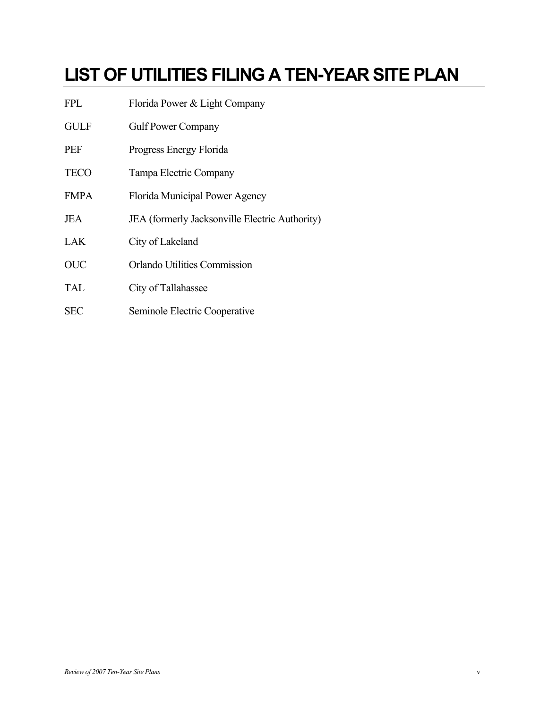# <span id="page-4-0"></span>**LIST OF UTILITIES FILING A TEN-YEAR SITE PLAN**

| FPL         | Florida Power & Light Company                  |
|-------------|------------------------------------------------|
| <b>GULF</b> | <b>Gulf Power Company</b>                      |
| PEF         | Progress Energy Florida                        |
| <b>TECO</b> | Tampa Electric Company                         |
| <b>FMPA</b> | Florida Municipal Power Agency                 |
| JEA         | JEA (formerly Jacksonville Electric Authority) |
| LAK         | City of Lakeland                               |
| <b>OUC</b>  | <b>Orlando Utilities Commission</b>            |
| <b>TAL</b>  | City of Tallahassee                            |
| <b>SEC</b>  | Seminole Electric Cooperative                  |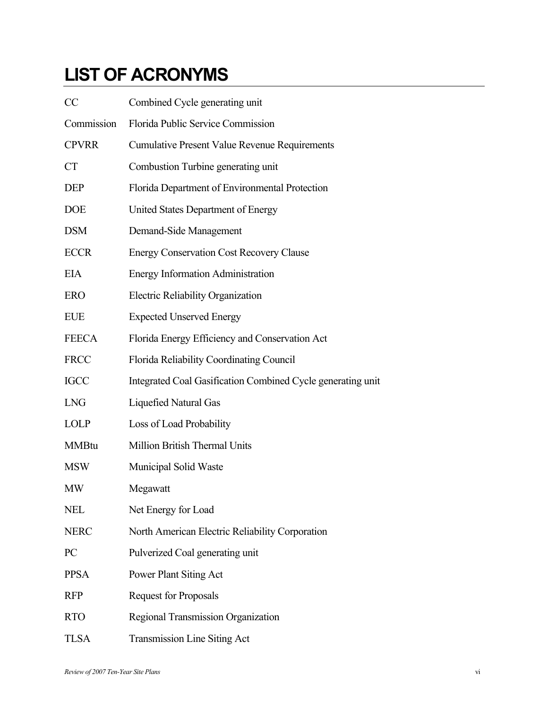# <span id="page-5-0"></span>**LIST OF ACRONYMS**

| CC             | Combined Cycle generating unit                              |
|----------------|-------------------------------------------------------------|
| Commission     | Florida Public Service Commission                           |
| <b>CPVRR</b>   | <b>Cumulative Present Value Revenue Requirements</b>        |
| <b>CT</b>      | Combustion Turbine generating unit                          |
| <b>DEP</b>     | Florida Department of Environmental Protection              |
| <b>DOE</b>     | United States Department of Energy                          |
| <b>DSM</b>     | Demand-Side Management                                      |
| <b>ECCR</b>    | <b>Energy Conservation Cost Recovery Clause</b>             |
| <b>EIA</b>     | <b>Energy Information Administration</b>                    |
| <b>ERO</b>     | Electric Reliability Organization                           |
| <b>EUE</b>     | <b>Expected Unserved Energy</b>                             |
| <b>FEECA</b>   | Florida Energy Efficiency and Conservation Act              |
| <b>FRCC</b>    | Florida Reliability Coordinating Council                    |
| <b>IGCC</b>    | Integrated Coal Gasification Combined Cycle generating unit |
| <b>LNG</b>     | <b>Liquefied Natural Gas</b>                                |
| <b>LOLP</b>    | Loss of Load Probability                                    |
| <b>MMBtu</b>   | Million British Thermal Units                               |
| <b>MSW</b>     | Municipal Solid Waste                                       |
| <b>MW</b>      | Megawatt                                                    |
| <b>NEL</b>     | Net Energy for Load                                         |
| <b>NERC</b>    | North American Electric Reliability Corporation             |
| P <sub>C</sub> | Pulverized Coal generating unit                             |
| <b>PPSA</b>    | Power Plant Siting Act                                      |
| <b>RFP</b>     | <b>Request for Proposals</b>                                |
| <b>RTO</b>     | Regional Transmission Organization                          |
| <b>TLSA</b>    | Transmission Line Siting Act                                |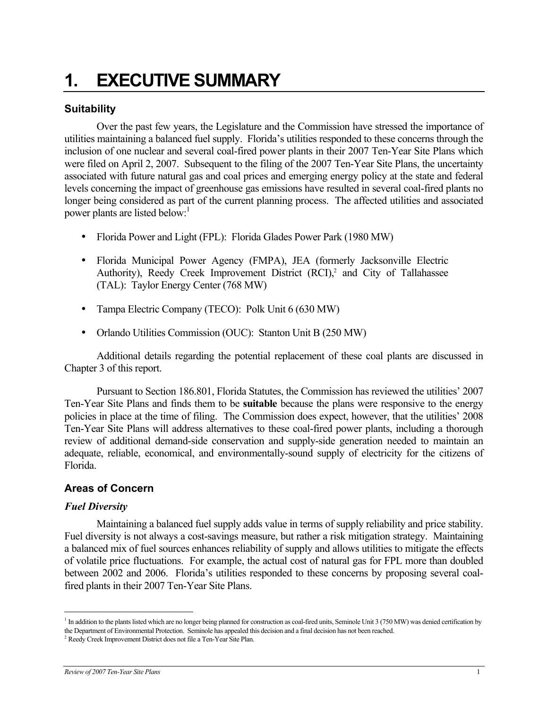# <span id="page-6-0"></span>**1. EXECUTIVE SUMMARY**

### **Suitability**

Over the past few years, the Legislature and the Commission have stressed the importance of utilities maintaining a balanced fuel supply. Florida's utilities responded to these concerns through the inclusion of one nuclear and several coal-fired power plants in their 2007 Ten-Year Site Plans which were filed on April 2, 2007. Subsequent to the filing of the 2007 Ten-Year Site Plans, the uncertainty associated with future natural gas and coal prices and emerging energy policy at the state and federal levels concerning the impact of greenhouse gas emissions have resulted in several coal-fired plants no longer being considered as part of the current planning process. The affected utilities and associated power plants are listed below:

- Florida Power and Light (FPL): Florida Glades Power Park (1980 MW)
- Florida Municipal Power Agency (FMPA), JEA (formerly Jacksonville Electric Authority),Reedy Creek Improvement District (RCI),<sup>2</sup> and City of Tallahassee (TAL): Taylor Energy Center (768 MW)
- Tampa Electric Company (TECO): Polk Unit 6 (630 MW)
- Orlando Utilities Commission (OUC): Stanton Unit B (250 MW)

Additional details regarding the potential replacement of these coal plants are discussed in Chapter 3 of this report.

Pursuant to Section 186.801, Florida Statutes, the Commission has reviewed the utilities' 2007 Ten-Year Site Plans and finds them to be **suitable** because the plans were responsive to the energy policies in place at the time of filing. The Commission does expect, however, that the utilities' 2008 Ten-Year Site Plans will address alternatives to these coal-fired power plants, including a thorough review of additional demand-side conservation and supply-side generation needed to maintain an adequate, reliable, economical, and environmentally-sound supply of electricity for the citizens of Florida.

### **Areas of Concern**

### *Fuel Diversity*

 $\overline{a}$ 

Maintaining a balanced fuel supply adds value in terms of supply reliability and price stability. Fuel diversity is not always a cost-savings measure, but rather a risk mitigation strategy. Maintaining a balanced mix of fuel sources enhances reliability of supply and allows utilities to mitigate the effects of volatile price fluctuations. For example, the actual cost of natural gas for FPL more than doubled between 2002 and 2006. Florida's utilities responded to these concerns by proposing several coalfired plants in their 2007 Ten-Year Site Plans.

<span id="page-6-1"></span><sup>&</sup>lt;sup>1</sup> In addition to the plants listed which are no longer being planned for construction as coal-fired units, Seminole Unit 3 (750 MW) was denied certification by the Department of Environmental Protection. Seminole has appealed this decision and a final decision has not been reached. 2

<span id="page-6-2"></span><sup>&</sup>lt;sup>2</sup> Reedy Creek Improvement District does not file a Ten-Year Site Plan.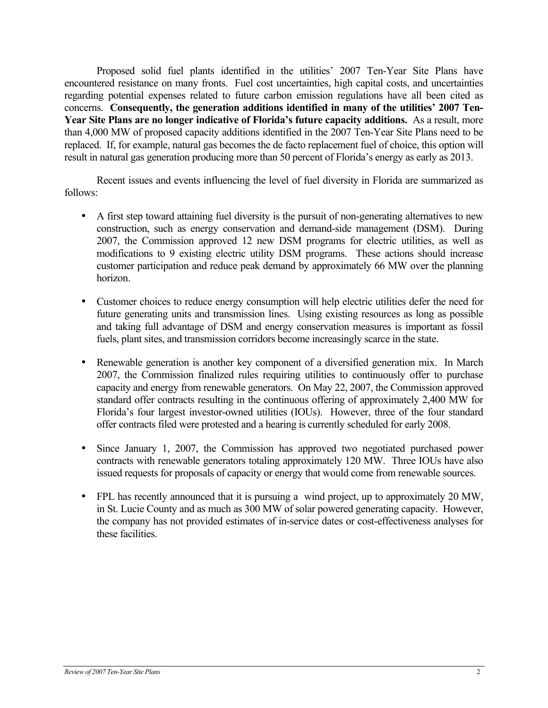Proposed solid fuel plants identified in the utilities' 2007 Ten-Year Site Plans have encountered resistance on many fronts. Fuel cost uncertainties, high capital costs, and uncertainties regarding potential expenses related to future carbon emission regulations have all been cited as concerns. **Consequently, the generation additions identified in many of the utilities' 2007 Ten-Year Site Plans are no longer indicative of Florida's future capacity additions.** As a result, more than 4,000 MW of proposed capacity additions identified in the 2007 Ten-Year Site Plans need to be replaced. If, for example, natural gas becomes the de facto replacement fuel of choice, this option will result in natural gas generation producing more than 50 percent of Florida's energy as early as 2013.

Recent issues and events influencing the level of fuel diversity in Florida are summarized as follows:

- A first step toward attaining fuel diversity is the pursuit of non-generating alternatives to new construction, such as energy conservation and demand-side management (DSM). During 2007, the Commission approved 12 new DSM programs for electric utilities, as well as modifications to 9 existing electric utility DSM programs. These actions should increase customer participation and reduce peak demand by approximately 66 MW over the planning horizon.
- Customer choices to reduce energy consumption will help electric utilities defer the need for future generating units and transmission lines. Using existing resources as long as possible and taking full advantage of DSM and energy conservation measures is important as fossil fuels, plant sites, and transmission corridors become increasingly scarce in the state.
- Renewable generation is another key component of a diversified generation mix. In March 2007, the Commission finalized rules requiring utilities to continuously offer to purchase capacity and energy from renewable generators. On May 22, 2007, the Commission approved standard offer contracts resulting in the continuous offering of approximately 2,400 MW for Florida's four largest investor-owned utilities (IOUs). However, three of the four standard offer contracts filed were protested and a hearing is currently scheduled for early 2008.
- Since January 1, 2007, the Commission has approved two negotiated purchased power contracts with renewable generators totaling approximately 120 MW. Three IOUs have also issued requests for proposals of capacity or energy that would come from renewable sources.
- FPL has recently announced that it is pursuing a wind project, up to approximately 20 MW, in St. Lucie County and as much as 300 MW of solar powered generating capacity. However, the company has not provided estimates of in-service dates or cost-effectiveness analyses for these facilities.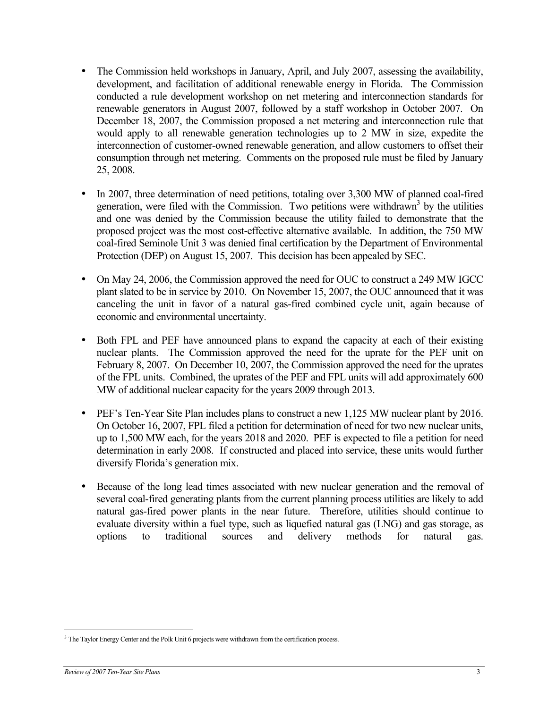- The Commission held workshops in January, April, and July 2007, assessing the availability, development, and facilitation of additional renewable energy in Florida. The Commission conducted a rule development workshop on net metering and interconnection standards for renewable generators in August 2007, followed by a staff workshop in October 2007. On December 18, 2007, the Commission proposed a net metering and interconnection rule that would apply to all renewable generation technologies up to 2 MW in size, expedite the interconnection of customer-owned renewable generation, and allow customers to offset their consumption through net metering. Comments on the proposed rule must be filed by January 25, 2008.
- In 2007, three determination of need petitions, totaling over 3,300 MW of planned coal-fired generation, were filed with the Commission. Two petitions were withdrawn<sup>3</sup> by the utilities and one was denied by the Commission because the utility failed to demonstrate that the proposed project was the most cost-effective alternative available. In addition, the 750 MW coal-fired Seminole Unit 3 was denied final certification by the Department of Environmental Protection (DEP) on August 15, 2007. This decision has been appealed by SEC.
- On May 24, 2006, the Commission approved the need for OUC to construct a 249 MW IGCC plant slated to be in service by 2010. On November 15, 2007, the OUC announced that it was canceling the unit in favor of a natural gas-fired combined cycle unit, again because of economic and environmental uncertainty.
- Both FPL and PEF have announced plans to expand the capacity at each of their existing nuclear plants. The Commission approved the need for the uprate for the PEF unit on February 8, 2007. On December 10, 2007, the Commission approved the need for the uprates of the FPL units. Combined, the uprates of the PEF and FPL units will add approximately 600 MW of additional nuclear capacity for the years 2009 through 2013.
- PEF's Ten-Year Site Plan includes plans to construct a new 1,125 MW nuclear plant by 2016. On October 16, 2007, FPL filed a petition for determination of need for two new nuclear units, up to 1,500 MW each, for the years 2018 and 2020. PEF is expected to file a petition for need determination in early 2008. If constructed and placed into service, these units would further diversify Florida's generation mix.
- Because of the long lead times associated with new nuclear generation and the removal of several coal-fired generating plants from the current planning process utilities are likely to add natural gas-fired power plants in the near future. Therefore, utilities should continue to evaluate diversity within a fuel type, such as liquefied natural gas (LNG) and gas storage, as options to traditional sources and delivery methods for natural gas.

 $\overline{a}$ 

<span id="page-8-0"></span><sup>&</sup>lt;sup>3</sup> The Taylor Energy Center and the Polk Unit 6 projects were withdrawn from the certification process.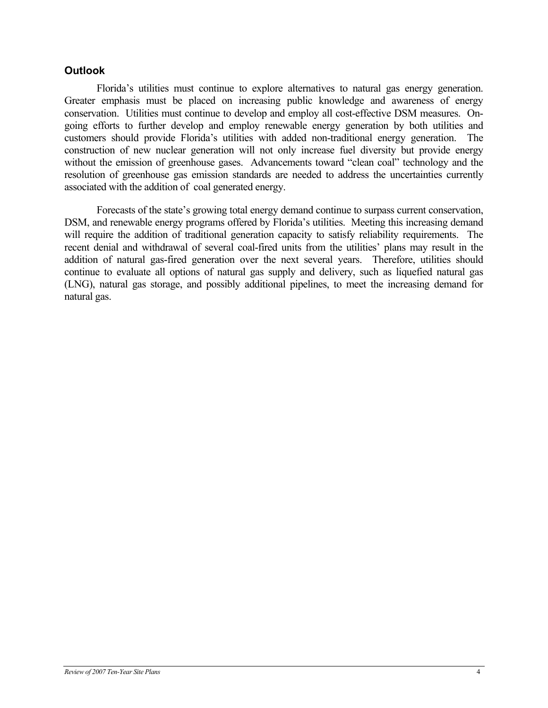### **Outlook**

 Florida's utilities must continue to explore alternatives to natural gas energy generation. Greater emphasis must be placed on increasing public knowledge and awareness of energy conservation. Utilities must continue to develop and employ all cost-effective DSM measures. Ongoing efforts to further develop and employ renewable energy generation by both utilities and customers should provide Florida's utilities with added non-traditional energy generation. The construction of new nuclear generation will not only increase fuel diversity but provide energy without the emission of greenhouse gases. Advancements toward "clean coal" technology and the resolution of greenhouse gas emission standards are needed to address the uncertainties currently associated with the addition of coal generated energy.

Forecasts of the state's growing total energy demand continue to surpass current conservation, DSM, and renewable energy programs offered by Florida's utilities. Meeting this increasing demand will require the addition of traditional generation capacity to satisfy reliability requirements. The recent denial and withdrawal of several coal-fired units from the utilities' plans may result in the addition of natural gas-fired generation over the next several years. Therefore, utilities should continue to evaluate all options of natural gas supply and delivery, such as liquefied natural gas (LNG), natural gas storage, and possibly additional pipelines, to meet the increasing demand for natural gas.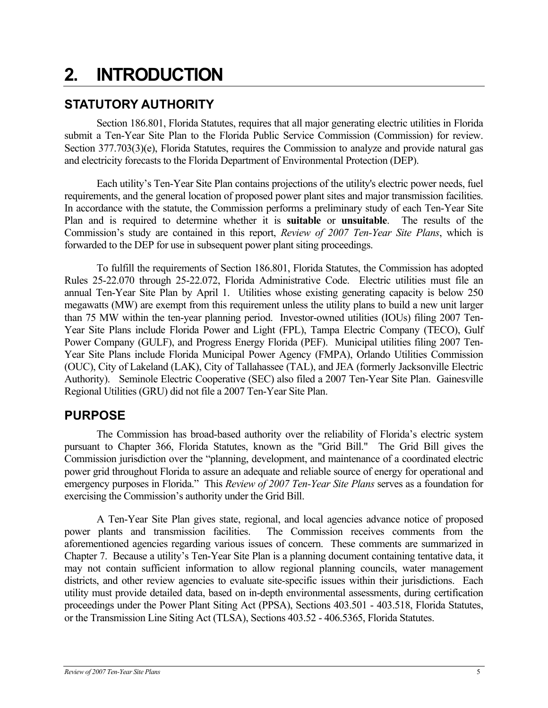# <span id="page-10-0"></span>**2. INTRODUCTION**

## **STATUTORY AUTHORITY**

Section 186.801, Florida Statutes, requires that all major generating electric utilities in Florida submit a Ten-Year Site Plan to the Florida Public Service Commission (Commission) for review. Section 377.703(3)(e), Florida Statutes, requires the Commission to analyze and provide natural gas and electricity forecasts to the Florida Department of Environmental Protection (DEP).

Each utility's Ten-Year Site Plan contains projections of the utility's electric power needs, fuel requirements, and the general location of proposed power plant sites and major transmission facilities. In accordance with the statute, the Commission performs a preliminary study of each Ten-Year Site Plan and is required to determine whether it is **suitable** or **unsuitable**. The results of the Commission's study are contained in this report, *Review of 2007 Ten-Year Site Plans*, which is forwarded to the DEP for use in subsequent power plant siting proceedings.

To fulfill the requirements of Section 186.801, Florida Statutes, the Commission has adopted Rules 25-22.070 through 25-22.072, Florida Administrative Code. Electric utilities must file an annual Ten-Year Site Plan by April 1. Utilities whose existing generating capacity is below 250 megawatts (MW) are exempt from this requirement unless the utility plans to build a new unit larger than 75 MW within the ten-year planning period. Investor-owned utilities (IOUs) filing 2007 Ten-Year Site Plans include Florida Power and Light (FPL), Tampa Electric Company (TECO), Gulf Power Company (GULF), and Progress Energy Florida (PEF). Municipal utilities filing 2007 Ten-Year Site Plans include Florida Municipal Power Agency (FMPA), Orlando Utilities Commission (OUC), City of Lakeland (LAK), City of Tallahassee (TAL), and JEA (formerly Jacksonville Electric Authority). Seminole Electric Cooperative (SEC) also filed a 2007 Ten-Year Site Plan. Gainesville Regional Utilities (GRU) did not file a 2007 Ten-Year Site Plan.

## **PURPOSE**

The Commission has broad-based authority over the reliability of Florida's electric system pursuant to Chapter 366, Florida Statutes, known as the "Grid Bill." The Grid Bill gives the Commission jurisdiction over the "planning, development, and maintenance of a coordinated electric power grid throughout Florida to assure an adequate and reliable source of energy for operational and emergency purposes in Florida." This *Review of 2007 Ten-Year Site Plans* serves as a foundation for exercising the Commission's authority under the Grid Bill.

A Ten-Year Site Plan gives state, regional, and local agencies advance notice of proposed power plants and transmission facilities. The Commission receives comments from the aforementioned agencies regarding various issues of concern. These comments are summarized in Chapter 7. Because a utility's Ten-Year Site Plan is a planning document containing tentative data, it may not contain sufficient information to allow regional planning councils, water management districts, and other review agencies to evaluate site-specific issues within their jurisdictions. Each utility must provide detailed data, based on in-depth environmental assessments, during certification proceedings under the Power Plant Siting Act (PPSA), Sections 403.501 - 403.518, Florida Statutes, or the Transmission Line Siting Act (TLSA), Sections 403.52 - 406.5365, Florida Statutes.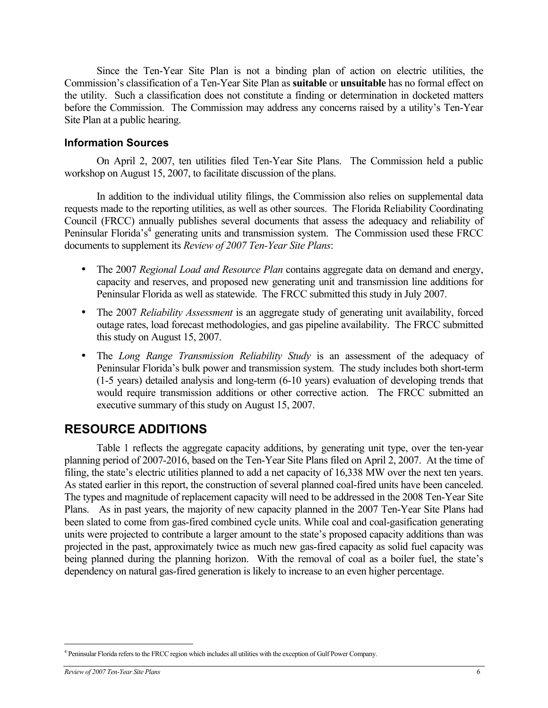<span id="page-11-0"></span>Since the Ten-Year Site Plan is not a binding plan of action on electric utilities, the Commission's classification of a Ten-Year Site Plan as **suitable** or **unsuitable** has no formal effect on the utility. Such a classification does not constitute a finding or determination in docketed matters before the Commission. The Commission may address any concerns raised by a utility's Ten-Year Site Plan at a public hearing.

### **Information Sources**

On April 2, 2007, ten utilities filed Ten-Year Site Plans. The Commission held a public workshop on August 15, 2007, to facilitate discussion of the plans.

In addition to the individual utility filings, the Commission also relies on supplemental data requests made to the reporting utilities, as well as other sources. The Florida Reliability Coordinating Council (FRCC) annually publishes several documents that assess the adequacy and reliability of Peninsular Florida's<sup>4</sup> generating units and transmission system. The Commission used these FRCC documents to supplement its *Review of 2007 Ten-Year Site Plans*:

- The 2007 *Regional Load and Resource Plan* contains aggregate data on demand and energy, capacity and reserves, and proposed new generating unit and transmission line additions for Peninsular Florida as well as statewide. The FRCC submitted this study in July 2007.
- The 2007 *Reliability Assessment* is an aggregate study of generating unit availability, forced outage rates, load forecast methodologies, and gas pipeline availability. The FRCC submitted this study on August 15, 2007.
- The *Long Range Transmission Reliability Study* is an assessment of the adequacy of Peninsular Florida's bulk power and transmission system. The study includes both short-term (1-5 years) detailed analysis and long-term (6-10 years) evaluation of developing trends that would require transmission additions or other corrective action. The FRCC submitted an executive summary of this study on August 15, 2007.

### **RESOURCE ADDITIONS**

Table 1 reflects the aggregate capacity additions, by generating unit type, over the ten-year planning period of 2007-2016, based on the Ten-Year Site Plans filed on April 2, 2007. At the time of filing, the state's electric utilities planned to add a net capacity of 16,338 MW over the next ten years. As stated earlier in this report, the construction of several planned coal-fired units have been canceled. The types and magnitude of replacement capacity will need to be addressed in the 2008 Ten-Year Site Plans. As in past years, the majority of new capacity planned in the 2007 Ten-Year Site Plans had been slated to come from gas-fired combined cycle units. While coal and coal-gasification generating units were projected to contribute a larger amount to the state's proposed capacity additions than was projected in the past, approximately twice as much new gas-fired capacity as solid fuel capacity was being planned during the planning horizon. With the removal of coal as a boiler fuel, the state's dependency on natural gas-fired generation is likely to increase to an even higher percentage.

1

<span id="page-11-1"></span><sup>4</sup> Peninsular Florida refers to the FRCC region which includes all utilities with the exception of Gulf Power Company.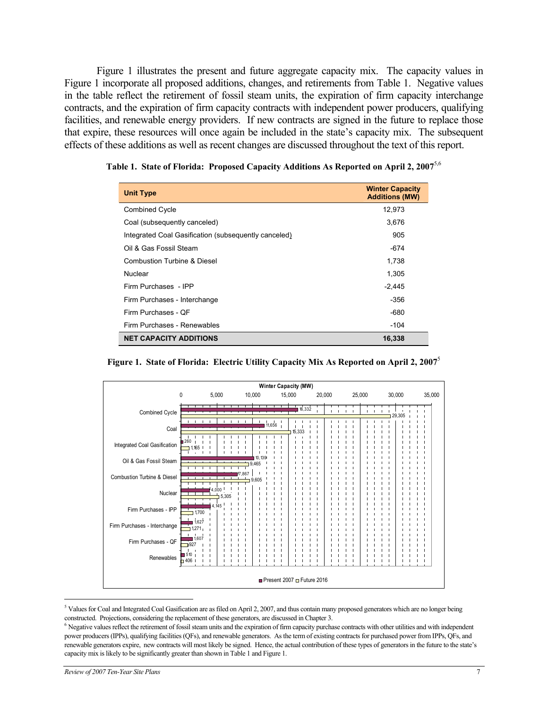<span id="page-12-0"></span>Figure 1 illustrates the present and future aggregate capacity mix. The capacity values in Figure 1 incorporate all proposed additions, changes, and retirements from Table 1. Negative values in the table reflect the retirement of fossil steam units, the expiration of firm capacity interchange contracts, and the expiration of firm capacity contracts with independent power producers, qualifying facilities, and renewable energy providers. If new contracts are signed in the future to replace those that expire, these resources will once again be included in the state's capacity mix. The subsequent effects of these additions as well as recent changes are discussed throughout the text of this report.

<span id="page-12-1"></span>

| <b>Unit Type</b>                                     | <b>Winter Capacity</b><br><b>Additions (MW)</b> |
|------------------------------------------------------|-------------------------------------------------|
| <b>Combined Cycle</b>                                | 12,973                                          |
| Coal (subsequently canceled)                         | 3,676                                           |
| Integrated Coal Gasification (subsequently canceled) | 905                                             |
| Oil & Gas Fossil Steam                               | -674                                            |
| Combustion Turbine & Diesel                          | 1,738                                           |
| Nuclear                                              | 1,305                                           |
| Firm Purchases - IPP                                 | $-2,445$                                        |
| Firm Purchases - Interchange                         | -356                                            |
| Firm Purchases - OF                                  | -680                                            |
| Firm Purchases - Renewables                          | -104                                            |
| <b>NET CAPACITY ADDITIONS</b>                        | 16,338                                          |

| Table 1. State of Florida: Proposed Capacity Additions As Reported on April 2, 2007 <sup>5,6</sup> |  |  |  |
|----------------------------------------------------------------------------------------------------|--|--|--|
|                                                                                                    |  |  |  |

**Figure 1. State of Florida: Electric Utility Capacity Mix As Reported on April 2, 2007**[5](#page-12-1)



<span id="page-12-2"></span> $5$  Values for Coal and Integrated Coal Gasification are as filed on April 2, 2007, and thus contain many proposed generators which are no longer being constructed. Projections, considering the replacement of these generators, are discussed in Chapter 3.

 $\overline{a}$ 

<sup>&</sup>lt;sup>6</sup> Negative values reflect the retirement of fossil steam units and the expiration of firm capacity purchase contracts with other utilities and with independent power producers (IPPs), qualifying facilities (QFs), and renewable generators. As the term of existing contracts for purchased power from IPPs, QFs, and renewable generators expire, new contracts will most likely be signed. Hence, the actual contribution of these types of generators in the future to the state's capacity mix is likely to be significantly greater than shown in Table 1 and Figure 1.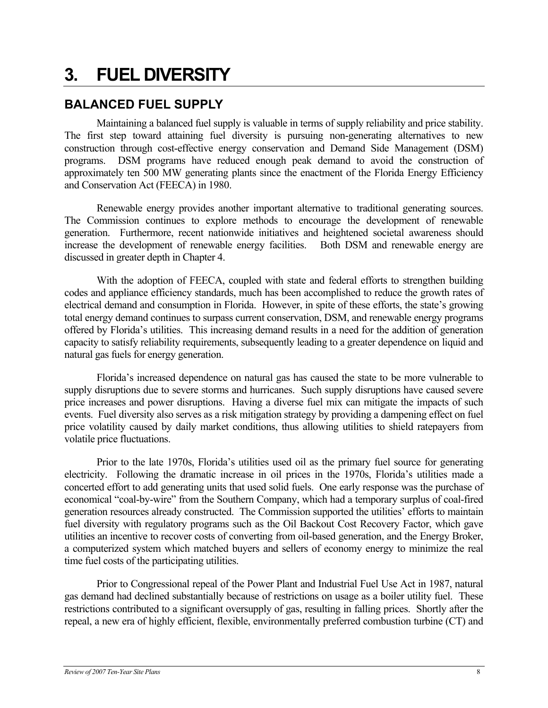## <span id="page-13-0"></span>**3. FUEL DIVERSITY**

## **BALANCED FUEL SUPPLY**

Maintaining a balanced fuel supply is valuable in terms of supply reliability and price stability. The first step toward attaining fuel diversity is pursuing non-generating alternatives to new construction through cost-effective energy conservation and Demand Side Management (DSM) programs. DSM programs have reduced enough peak demand to avoid the construction of approximately ten 500 MW generating plants since the enactment of the Florida Energy Efficiency and Conservation Act (FEECA) in 1980.

Renewable energy provides another important alternative to traditional generating sources. The Commission continues to explore methods to encourage the development of renewable generation. Furthermore, recent nationwide initiatives and heightened societal awareness should increase the development of renewable energy facilities. Both DSM and renewable energy are discussed in greater depth in Chapter 4.

With the adoption of FEECA, coupled with state and federal efforts to strengthen building codes and appliance efficiency standards, much has been accomplished to reduce the growth rates of electrical demand and consumption in Florida. However, in spite of these efforts, the state's growing total energy demand continues to surpass current conservation, DSM, and renewable energy programs offered by Florida's utilities. This increasing demand results in a need for the addition of generation capacity to satisfy reliability requirements, subsequently leading to a greater dependence on liquid and natural gas fuels for energy generation.

Florida's increased dependence on natural gas has caused the state to be more vulnerable to supply disruptions due to severe storms and hurricanes. Such supply disruptions have caused severe price increases and power disruptions. Having a diverse fuel mix can mitigate the impacts of such events. Fuel diversity also serves as a risk mitigation strategy by providing a dampening effect on fuel price volatility caused by daily market conditions, thus allowing utilities to shield ratepayers from volatile price fluctuations.

Prior to the late 1970s, Florida's utilities used oil as the primary fuel source for generating electricity. Following the dramatic increase in oil prices in the 1970s, Florida's utilities made a concerted effort to add generating units that used solid fuels. One early response was the purchase of economical "coal-by-wire" from the Southern Company, which had a temporary surplus of coal-fired generation resources already constructed. The Commission supported the utilities' efforts to maintain fuel diversity with regulatory programs such as the Oil Backout Cost Recovery Factor, which gave utilities an incentive to recover costs of converting from oil-based generation, and the Energy Broker, a computerized system which matched buyers and sellers of economy energy to minimize the real time fuel costs of the participating utilities.

Prior to Congressional repeal of the Power Plant and Industrial Fuel Use Act in 1987, natural gas demand had declined substantially because of restrictions on usage as a boiler utility fuel. These restrictions contributed to a significant oversupply of gas, resulting in falling prices. Shortly after the repeal, a new era of highly efficient, flexible, environmentally preferred combustion turbine (CT) and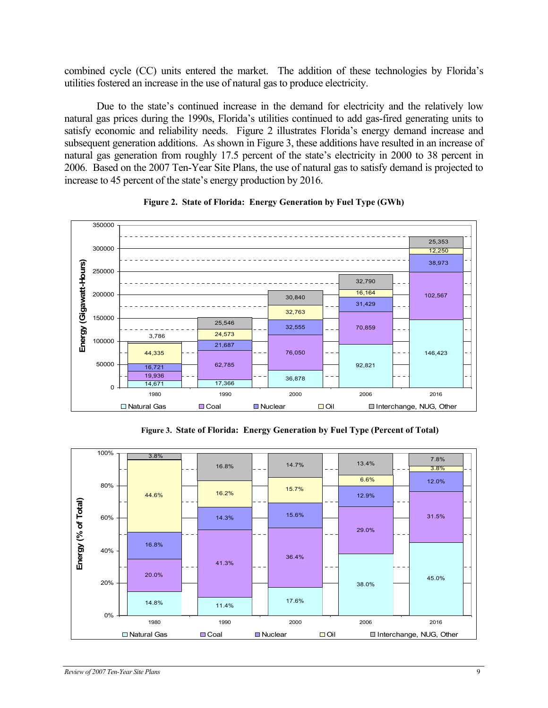<span id="page-14-0"></span>combined cycle (CC) units entered the market. The addition of these technologies by Florida's utilities fostered an increase in the use of natural gas to produce electricity.

Due to the state's continued increase in the demand for electricity and the relatively low natural gas prices during the 1990s, Florida's utilities continued to add gas-fired generating units to satisfy economic and reliability needs. Figure 2 illustrates Florida's energy demand increase and subsequent generation additions. As shown in Figure 3, these additions have resulted in an increase of natural gas generation from roughly 17.5 percent of the state's electricity in 2000 to 38 percent in 2006. Based on the 2007 Ten-Year Site Plans, the use of natural gas to satisfy demand is projected to increase to 45 percent of the state's energy production by 2016.





**Figure 3. State of Florida: Energy Generation by Fuel Type (Percent of Total)**

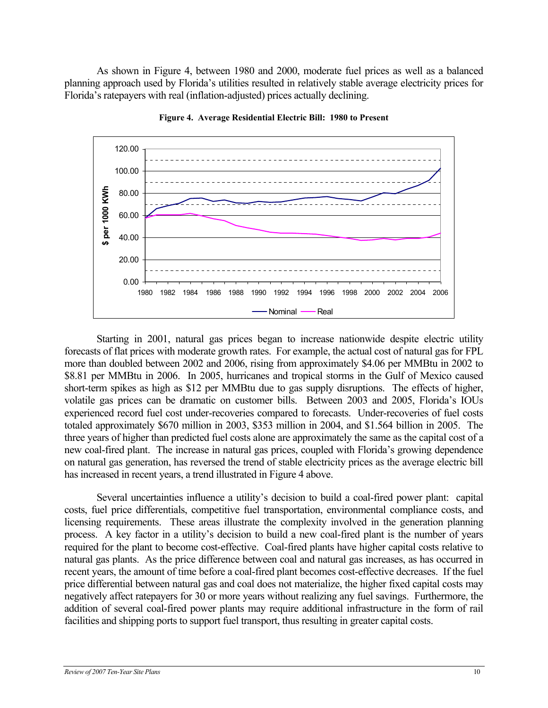<span id="page-15-0"></span>As shown in Figure 4, between 1980 and 2000, moderate fuel prices as well as a balanced planning approach used by Florida's utilities resulted in relatively stable average electricity prices for Florida's ratepayers with real (inflation-adjusted) prices actually declining.



**Figure 4. Average Residential Electric Bill: 1980 to Present** 

Starting in 2001, natural gas prices began to increase nationwide despite electric utility forecasts of flat prices with moderate growth rates. For example, the actual cost of natural gas for FPL more than doubled between 2002 and 2006, rising from approximately \$4.06 per MMBtu in 2002 to \$8.81 per MMBtu in 2006. In 2005, hurricanes and tropical storms in the Gulf of Mexico caused short-term spikes as high as \$12 per MMBtu due to gas supply disruptions. The effects of higher, volatile gas prices can be dramatic on customer bills. Between 2003 and 2005, Florida's IOUs experienced record fuel cost under-recoveries compared to forecasts. Under-recoveries of fuel costs totaled approximately \$670 million in 2003, \$353 million in 2004, and \$1.564 billion in 2005. The three years of higher than predicted fuel costs alone are approximately the same as the capital cost of a new coal-fired plant. The increase in natural gas prices, coupled with Florida's growing dependence on natural gas generation, has reversed the trend of stable electricity prices as the average electric bill has increased in recent years, a trend illustrated in Figure 4 above.

Several uncertainties influence a utility's decision to build a coal-fired power plant: capital costs, fuel price differentials, competitive fuel transportation, environmental compliance costs, and licensing requirements. These areas illustrate the complexity involved in the generation planning process. A key factor in a utility's decision to build a new coal-fired plant is the number of years required for the plant to become cost-effective. Coal-fired plants have higher capital costs relative to natural gas plants. As the price difference between coal and natural gas increases, as has occurred in recent years, the amount of time before a coal-fired plant becomes cost-effective decreases. If the fuel price differential between natural gas and coal does not materialize, the higher fixed capital costs may negatively affect ratepayers for 30 or more years without realizing any fuel savings. Furthermore, the addition of several coal-fired power plants may require additional infrastructure in the form of rail facilities and shipping ports to support fuel transport, thus resulting in greater capital costs.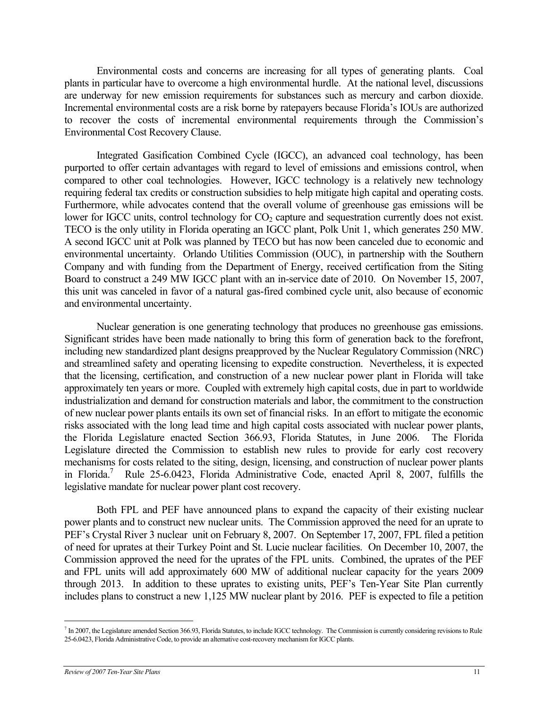Environmental costs and concerns are increasing for all types of generating plants. Coal plants in particular have to overcome a high environmental hurdle. At the national level, discussions are underway for new emission requirements for substances such as mercury and carbon dioxide. Incremental environmental costs are a risk borne by ratepayers because Florida's IOUs are authorized to recover the costs of incremental environmental requirements through the Commission's Environmental Cost Recovery Clause.

Integrated Gasification Combined Cycle (IGCC), an advanced coal technology, has been purported to offer certain advantages with regard to level of emissions and emissions control, when compared to other coal technologies. However, IGCC technology is a relatively new technology requiring federal tax credits or construction subsidies to help mitigate high capital and operating costs. Furthermore, while advocates contend that the overall volume of greenhouse gas emissions will be lower for IGCC units, control technology for  $CO<sub>2</sub>$  capture and sequestration currently does not exist. TECO is the only utility in Florida operating an IGCC plant, Polk Unit 1, which generates 250 MW. A second IGCC unit at Polk was planned by TECO but has now been canceled due to economic and environmental uncertainty. Orlando Utilities Commission (OUC), in partnership with the Southern Company and with funding from the Department of Energy, received certification from the Siting Board to construct a 249 MW IGCC plant with an in-service date of 2010. On November 15, 2007, this unit was canceled in favor of a natural gas-fired combined cycle unit, also because of economic and environmental uncertainty.

Nuclear generation is one generating technology that produces no greenhouse gas emissions. Significant strides have been made nationally to bring this form of generation back to the forefront, including new standardized plant designs preapproved by the Nuclear Regulatory Commission (NRC) and streamlined safety and operating licensing to expedite construction. Nevertheless, it is expected that the licensing, certification, and construction of a new nuclear power plant in Florida will take approximately ten years or more. Coupled with extremely high capital costs, due in part to worldwide industrialization and demand for construction materials and labor, the commitment to the construction of new nuclear power plants entails its own set of financial risks. In an effort to mitigate the economic risks associated with the long lead time and high capital costs associated with nuclear power plants, the Florida Legislature enacted Section 366.93, Florida Statutes, in June 2006. The Florida Legislature directed the Commission to establish new rules to provide for early cost recovery mechanisms for costs related to the siting, design, licensing, and construction of nuclear power plants in Florida.<sup>7</sup> Rule 25-6.0423, Florida Administrative Code, enacted April 8, 2007, fulfills the legislative mandate for nuclear power plant cost recovery.

Both FPL and PEF have announced plans to expand the capacity of their existing nuclear power plants and to construct new nuclear units. The Commission approved the need for an uprate to PEF's Crystal River 3 nuclear unit on February 8, 2007. On September 17, 2007, FPL filed a petition of need for uprates at their Turkey Point and St. Lucie nuclear facilities. On December 10, 2007, the Commission approved the need for the uprates of the FPL units. Combined, the uprates of the PEF and FPL units will add approximately 600 MW of additional nuclear capacity for the years 2009 through 2013. In addition to these uprates to existing units, PEF's Ten-Year Site Plan currently includes plans to construct a new 1,125 MW nuclear plant by 2016. PEF is expected to file a petition

 $\overline{a}$ 

<span id="page-16-0"></span><sup>&</sup>lt;sup>7</sup> In 2007, the Legislature amended Section 366.93, Florida Statutes, to include IGCC technology. The Commission is currently considering revisions to Rule 25-6.0423, Florida Administrative Code, to provide an alternative cost-recovery mechanism for IGCC plants.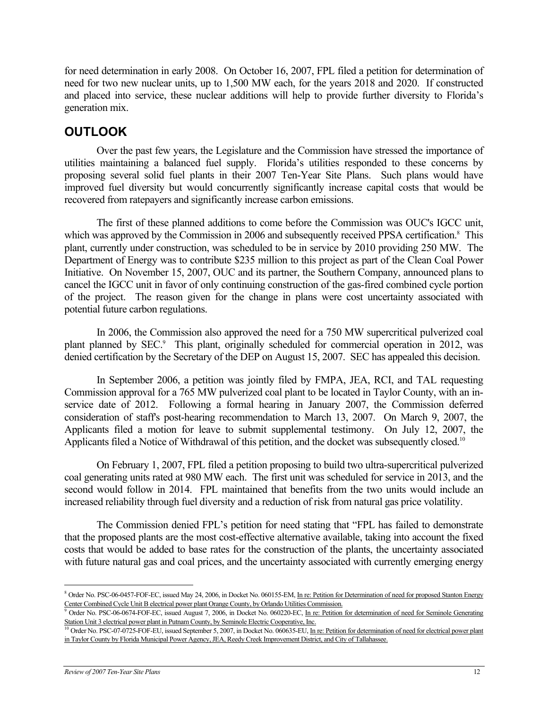<span id="page-17-0"></span>for need determination in early 2008. On October 16, 2007, FPL filed a petition for determination of need for two new nuclear units, up to 1,500 MW each, for the years 2018 and 2020. If constructed and placed into service, these nuclear additions will help to provide further diversity to Florida's generation mix.

## **OUTLOOK**

Over the past few years, the Legislature and the Commission have stressed the importance of utilities maintaining a balanced fuel supply. Florida's utilities responded to these concerns by proposing several solid fuel plants in their 2007 Ten-Year Site Plans. Such plans would have improved fuel diversity but would concurrently significantly increase capital costs that would be recovered from ratepayers and significantly increase carbon emissions.

The first of these planned additions to come before the Commission was OUC's IGCC unit, whichwas approved by the Commission in 2006 and subsequently received PPSA certification.<sup>8</sup> This plant, currently under construction, was scheduled to be in service by 2010 providing 250 MW. The Department of Energy was to contribute \$235 million to this project as part of the Clean Coal Power Initiative. On November 15, 2007, OUC and its partner, the Southern Company, announced plans to cancel the IGCC unit in favor of only continuing construction of the gas-fired combined cycle portion of the project. The reason given for the change in plans were cost uncertainty associated with potential future carbon regulations.

In 2006, the Commission also approved the need for a 750 MW supercritical pulverized coal plant planned by SEC.<sup>9</sup> This plant, originally scheduled for commercial operation in 2012, was denied certification by the Secretary of the DEP on August 15, 2007. SEC has appealed this decision.

In September 2006, a petition was jointly filed by FMPA, JEA, RCI, and TAL requesting Commission approval for a 765 MW pulverized coal plant to be located in Taylor County, with an inservice date of 2012. Following a formal hearing in January 2007, the Commission deferred consideration of staff's post-hearing recommendation to March 13, 2007. On March 9, 2007, the Applicants filed a motion for leave to submit supplemental testimony. On July 12, 2007, the Applicants filed a Notice of Withdrawal of this petition, and the docket was subsequently closed.<sup>[10](#page-17-3)</sup>

On February 1, 2007, FPL filed a petition proposing to build two ultra-supercritical pulverized coal generating units rated at 980 MW each. The first unit was scheduled for service in 2013, and the second would follow in 2014. FPL maintained that benefits from the two units would include an increased reliability through fuel diversity and a reduction of risk from natural gas price volatility.

The Commission denied FPL's petition for need stating that "FPL has failed to demonstrate that the proposed plants are the most cost-effective alternative available, taking into account the fixed costs that would be added to base rates for the construction of the plants, the uncertainty associated with future natural gas and coal prices, and the uncertainty associated with currently emerging energy

1

<span id="page-17-1"></span><sup>&</sup>lt;sup>8</sup> Order No. PSC-06-0457-FOF-EC, issued May 24, 2006, in Docket No. 060155-EM, In re: Petition for Determination of need for proposed Stanton Energy Center Combined Cycle Unit B electrical power plant Orange County, by Orlando Utilities Commission.

<span id="page-17-2"></span><sup>&</sup>lt;sup>9</sup> Order No. PSC-06-0674-FOF-EC, issued August 7, 2006, in Docket No. 060220-EC, In re: Petition for determination of need for Seminole Generating Station Unit 3 electrical power plant in Putnam County, by Seminole Electric Cooperative, Inc.

<span id="page-17-3"></span><sup>&</sup>lt;sup>10</sup> Order No. PSC-07-0725-FOF-EU, issued September 5, 2007, in Docket No. 060635-EU, In re: Petition for determination of need for electrical power plant in Taylor County by Florida Municipal Power Agency, JEA, Reedy Creek Improvement District, and City of Tallahassee.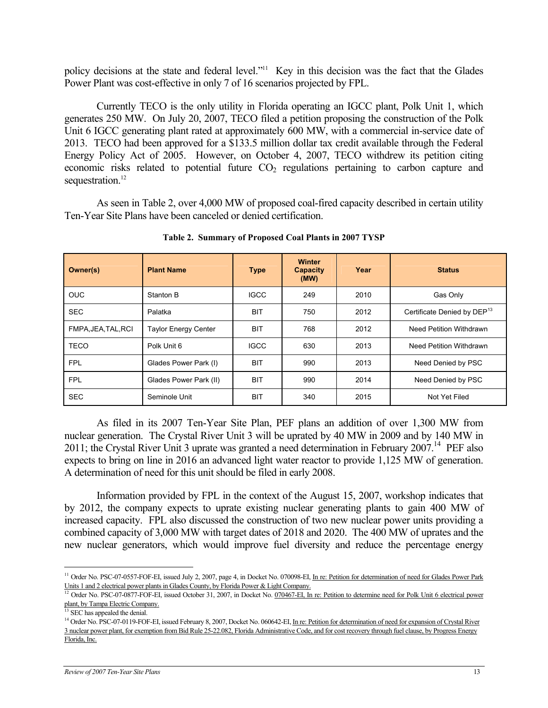<span id="page-18-0"></span>policy decisions at the state and federal level."<sup>11</sup> Key in this decision was the fact that the Glades Power Plant was cost-effective in only 7 of 16 scenarios projected by FPL.

Currently TECO is the only utility in Florida operating an IGCC plant, Polk Unit 1, which generates 250 MW. On July 20, 2007, TECO filed a petition proposing the construction of the Polk Unit 6 IGCC generating plant rated at approximately 600 MW, with a commercial in-service date of 2013. TECO had been approved for a \$133.5 million dollar tax credit available through the Federal Energy Policy Act of 2005. However, on October 4, 2007, TECO withdrew its petition citing economic risks related to potential future  $CO<sub>2</sub>$  regulations pertaining to carbon capture and sequestration.<sup>12</sup>

As seen in Table 2, over 4,000 MW of proposed coal-fired capacity described in certain utility Ten-Year Site Plans have been canceled or denied certification.

| Owner(s)            | <b>Plant Name</b>      | <b>Type</b> | <b>Winter</b><br>Capacity<br>(MW) | Year | <b>Status</b>                           |
|---------------------|------------------------|-------------|-----------------------------------|------|-----------------------------------------|
| <b>OUC</b>          | Stanton B              | <b>IGCC</b> | 249                               | 2010 | Gas Only                                |
| <b>SEC</b>          | Palatka                | <b>BIT</b>  | 750                               | 2012 | Certificate Denied by DEP <sup>13</sup> |
| FMPA, JEA, TAL, RCI | Taylor Energy Center   | <b>BIT</b>  | 768                               | 2012 | Need Petition Withdrawn                 |
| <b>TECO</b>         | Polk Unit 6            | <b>IGCC</b> | 630                               | 2013 | Need Petition Withdrawn                 |
| <b>FPL</b>          | Glades Power Park (I)  | <b>BIT</b>  | 990                               | 2013 | Need Denied by PSC                      |
| <b>FPL</b>          | Glades Power Park (II) | <b>BIT</b>  | 990                               | 2014 | Need Denied by PSC                      |
| <b>SEC</b>          | Seminole Unit          | <b>BIT</b>  | 340                               | 2015 | Not Yet Filed                           |

**Table 2. Summary of Proposed Coal Plants in 2007 TYSP** 

As filed in its 2007 Ten-Year Site Plan, PEF plans an addition of over 1,300 MW from nuclear generation. The Crystal River Unit 3 will be uprated by 40 MW in 2009 and by 140 MW in 2011; the Crystal River Unit 3 uprate was granted a need determination in February 2007.<sup>14</sup> PEF also expects to bring on line in 2016 an advanced light water reactor to provide 1,125 MW of generation. A determination of need for this unit should be filed in early 2008.

Information provided by FPL in the context of the August 15, 2007, workshop indicates that by 2012, the company expects to uprate existing nuclear generating plants to gain 400 MW of increased capacity. FPL also discussed the construction of two new nuclear power units providing a combined capacity of 3,000 MW with target dates of 2018 and 2020. The 400 MW of uprates and the new nuclear generators, which would improve fuel diversity and reduce the percentage energy

<span id="page-18-1"></span> $\overline{a}$ <sup>11</sup> Order No. PSC-07-0557-FOF-EI, issued July 2, 2007, page 4, in Docket No. 070098-EI, In re: Petition for determination of need for Glades Power Park Units 1 and 2 electrical power plants in Glades County, by Florida Power & Light Company.

<span id="page-18-2"></span><sup>&</sup>lt;sup>12</sup> Order No. PSC-07-0877-FOF-EI, issued October 31, 2007, in Docket No. 070467-EI, In re: Petition to determine need for Polk Unit 6 electrical power plant, by Tampa Electric Company.

<span id="page-18-3"></span> $13$  SEC has appealed the denial.

<span id="page-18-4"></span><sup>&</sup>lt;sup>14</sup> Order No. PSC-07-0119-FOF-EI, issued February 8, 2007, Docket No. 060642-EI, In re: Petition for determination of need for expansion of Crystal River 3 nuclear power plant, for exemption from Bid Rule 25-22.082, Florida Administrative Code, and for cost recovery through fuel clause, by Progress Energy Florida, Inc.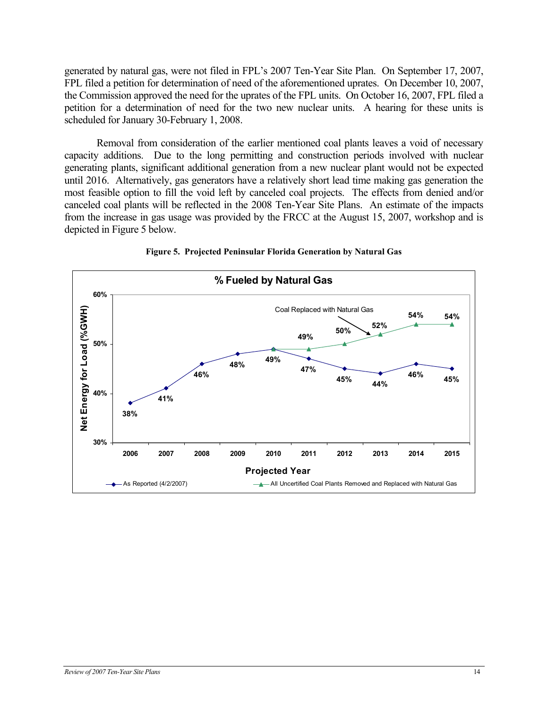<span id="page-19-0"></span>generated by natural gas, were not filed in FPL's 2007 Ten-Year Site Plan. On September 17, 2007, FPL filed a petition for determination of need of the aforementioned uprates. On December 10, 2007, the Commission approved the need for the uprates of the FPL units. On October 16, 2007, FPL filed a petition for a determination of need for the two new nuclear units. A hearing for these units is scheduled for January 30-February 1, 2008.

Removal from consideration of the earlier mentioned coal plants leaves a void of necessary capacity additions. Due to the long permitting and construction periods involved with nuclear generating plants, significant additional generation from a new nuclear plant would not be expected until 2016. Alternatively, gas generators have a relatively short lead time making gas generation the most feasible option to fill the void left by canceled coal projects. The effects from denied and/or canceled coal plants will be reflected in the 2008 Ten-Year Site Plans. An estimate of the impacts from the increase in gas usage was provided by the FRCC at the August 15, 2007, workshop and is depicted in Figure 5 below.



**Figure 5. Projected Peninsular Florida Generation by Natural Gas**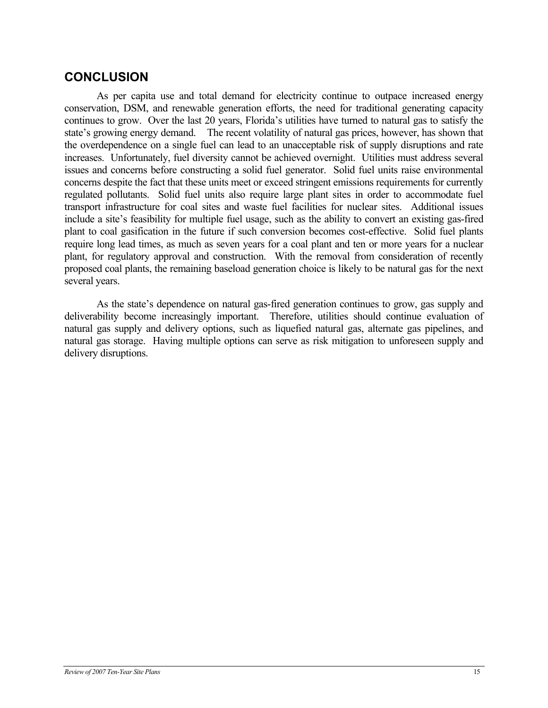## **CONCLUSION**

As per capita use and total demand for electricity continue to outpace increased energy conservation, DSM, and renewable generation efforts, the need for traditional generating capacity continues to grow. Over the last 20 years, Florida's utilities have turned to natural gas to satisfy the state's growing energy demand. The recent volatility of natural gas prices, however, has shown that the overdependence on a single fuel can lead to an unacceptable risk of supply disruptions and rate increases. Unfortunately, fuel diversity cannot be achieved overnight. Utilities must address several issues and concerns before constructing a solid fuel generator. Solid fuel units raise environmental concerns despite the fact that these units meet or exceed stringent emissions requirements for currently regulated pollutants. Solid fuel units also require large plant sites in order to accommodate fuel transport infrastructure for coal sites and waste fuel facilities for nuclear sites. Additional issues include a site's feasibility for multiple fuel usage, such as the ability to convert an existing gas-fired plant to coal gasification in the future if such conversion becomes cost-effective. Solid fuel plants require long lead times, as much as seven years for a coal plant and ten or more years for a nuclear plant, for regulatory approval and construction. With the removal from consideration of recently proposed coal plants, the remaining baseload generation choice is likely to be natural gas for the next several years.

As the state's dependence on natural gas-fired generation continues to grow, gas supply and deliverability become increasingly important. Therefore, utilities should continue evaluation of natural gas supply and delivery options, such as liquefied natural gas, alternate gas pipelines, and natural gas storage. Having multiple options can serve as risk mitigation to unforeseen supply and delivery disruptions.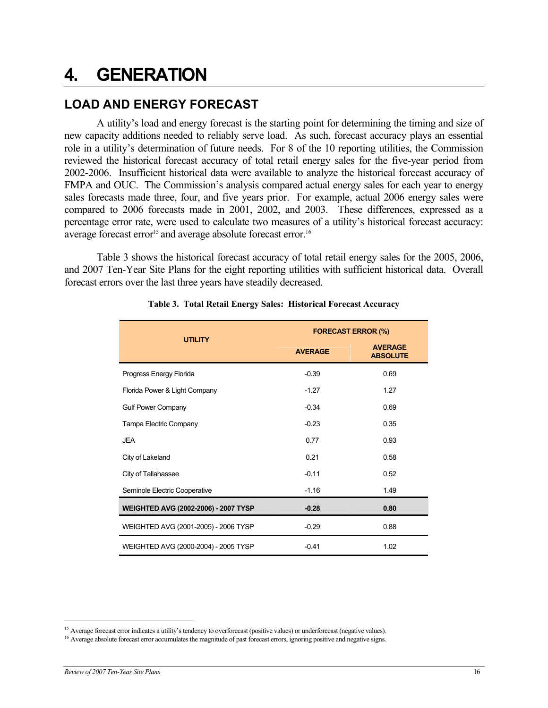## <span id="page-21-0"></span>**4. GENERATION**

## **LOAD AND ENERGY FORECAST**

A utility's load and energy forecast is the starting point for determining the timing and size of new capacity additions needed to reliably serve load. As such, forecast accuracy plays an essential role in a utility's determination of future needs. For 8 of the 10 reporting utilities, the Commission reviewed the historical forecast accuracy of total retail energy sales for the five-year period from 2002-2006. Insufficient historical data were available to analyze the historical forecast accuracy of FMPA and OUC. The Commission's analysis compared actual energy sales for each year to energy sales forecasts made three, four, and five years prior. For example, actual 2006 energy sales were compared to 2006 forecasts made in 2001, 2002, and 2003. These differences, expressed as a percentage error rate, were used to calculate two measures of a utility's historical forecast accuracy: average forecast error<sup>15</sup> and average absolute forecast error.<sup>[16](#page-21-2)</sup>

Table 3 shows the historical forecast accuracy of total retail energy sales for the 2005, 2006, and 2007 Ten-Year Site Plans for the eight reporting utilities with sufficient historical data. Overall forecast errors over the last three years have steadily decreased.

|                                      | <b>FORECAST ERROR (%)</b> |                                   |  |  |
|--------------------------------------|---------------------------|-----------------------------------|--|--|
| <b>UTILITY</b>                       | <b>AVERAGE</b>            | <b>AVERAGE</b><br><b>ABSOLUTE</b> |  |  |
| Progress Energy Florida              | $-0.39$                   | 0.69                              |  |  |
| Florida Power & Light Company        | $-1.27$                   | 1.27                              |  |  |
| <b>Gulf Power Company</b>            | $-0.34$                   | 0.69                              |  |  |
| Tampa Electric Company               | $-0.23$                   | 0.35                              |  |  |
| <b>JEA</b>                           | 0.77                      | 0.93                              |  |  |
| City of Lakeland                     | 0.21                      | 0.58                              |  |  |
| City of Tallahassee                  | $-0.11$                   | 0.52                              |  |  |
| Seminole Electric Cooperative        | $-1.16$                   | 1.49                              |  |  |
| WEIGHTED AVG (2002-2006) - 2007 TYSP | $-0.28$                   | 0.80                              |  |  |
| WEIGHTED AVG (2001-2005) - 2006 TYSP | $-0.29$                   | 0.88                              |  |  |
| WEIGHTED AVG (2000-2004) - 2005 TYSP | $-0.41$                   | 1.02                              |  |  |

#### **Table 3. Total Retail Energy Sales: Historical Forecast Accuracy**

<span id="page-21-1"></span><sup>&</sup>lt;sup>15</sup> Average forecast error indicates a utility's tendency to overforecast (positive values) or underforecast (negative values).

<span id="page-21-2"></span><sup>&</sup>lt;sup>16</sup> Average absolute forecast error accumulates the magnitude of past forecast errors, ignoring positive and negative signs.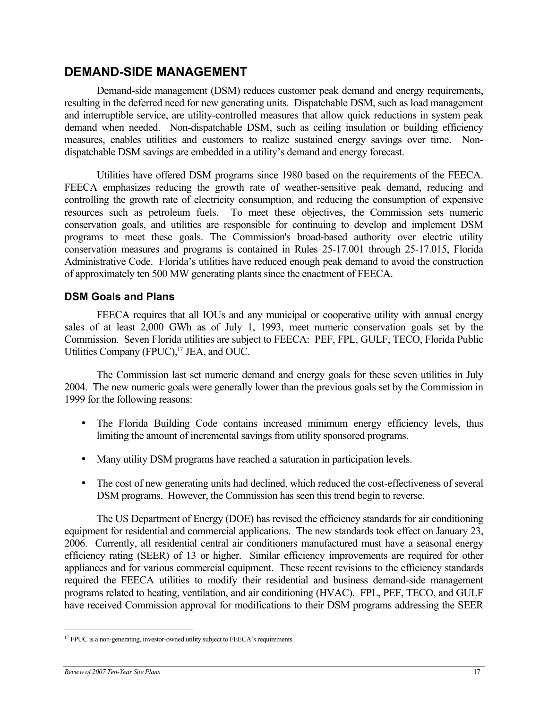### <span id="page-22-0"></span>**DEMAND-SIDE MANAGEMENT**

Demand-side management (DSM) reduces customer peak demand and energy requirements, resulting in the deferred need for new generating units. Dispatchable DSM, such as load management and interruptible service, are utility-controlled measures that allow quick reductions in system peak demand when needed. Non-dispatchable DSM, such as ceiling insulation or building efficiency measures, enables utilities and customers to realize sustained energy savings over time. Nondispatchable DSM savings are embedded in a utility's demand and energy forecast.

Utilities have offered DSM programs since 1980 based on the requirements of the FEECA. FEECA emphasizes reducing the growth rate of weather-sensitive peak demand, reducing and controlling the growth rate of electricity consumption, and reducing the consumption of expensive resources such as petroleum fuels. To meet these objectives, the Commission sets numeric conservation goals, and utilities are responsible for continuing to develop and implement DSM programs to meet these goals. The Commission's broad-based authority over electric utility conservation measures and programs is contained in Rules 25-17.001 through 25-17.015, Florida Administrative Code. Florida's utilities have reduced enough peak demand to avoid the construction of approximately ten 500 MW generating plants since the enactment of FEECA.

### **DSM Goals and Plans**

FEECA requires that all IOUs and any municipal or cooperative utility with annual energy sales of at least 2,000 GWh as of July 1, 1993, meet numeric conservation goals set by the Commission. Seven Florida utilities are subject to FEECA: PEF, FPL, GULF, TECO, Florida Public Utilities Company (FPUC),<sup>17</sup> JEA, and OUC.

The Commission last set numeric demand and energy goals for these seven utilities in July 2004. The new numeric goals were generally lower than the previous goals set by the Commission in 1999 for the following reasons:

- The Florida Building Code contains increased minimum energy efficiency levels, thus limiting the amount of incremental savings from utility sponsored programs.
- Many utility DSM programs have reached a saturation in participation levels.
- The cost of new generating units had declined, which reduced the cost-effectiveness of several DSM programs. However, the Commission has seen this trend begin to reverse.

The US Department of Energy (DOE) has revised the efficiency standards for air conditioning equipment for residential and commercial applications. The new standards took effect on January 23, 2006. Currently, all residential central air conditioners manufactured must have a seasonal energy efficiency rating (SEER) of 13 or higher. Similar efficiency improvements are required for other appliances and for various commercial equipment. These recent revisions to the efficiency standards required the FEECA utilities to modify their residential and business demand-side management programs related to heating, ventilation, and air conditioning (HVAC). FPL, PEF, TECO, and GULF have received Commission approval for modifications to their DSM programs addressing the SEER

 $\overline{a}$ 

<span id="page-22-1"></span><sup>&</sup>lt;sup>17</sup> FPUC is a non-generating, investor-owned utility subject to FEECA's requirements.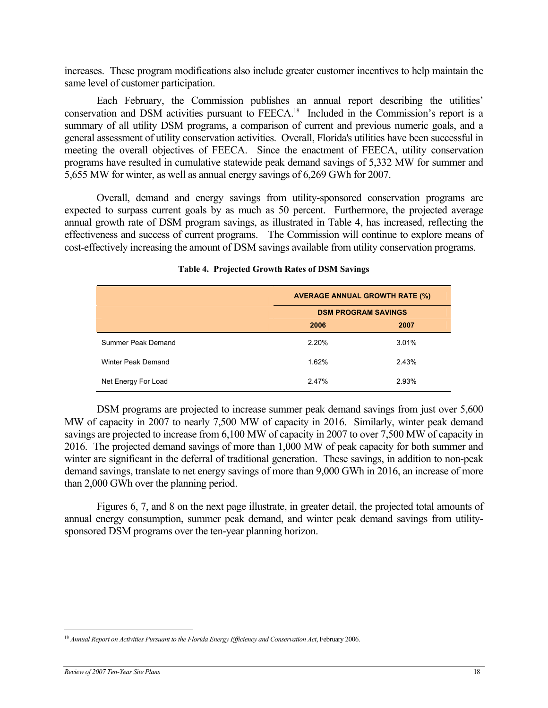<span id="page-23-0"></span>increases. These program modifications also include greater customer incentives to help maintain the same level of customer participation.

Each February, the Commission publishes an annual report describing the utilities' conservation and DSM activities pursuant to FEECA.<sup>18</sup> Included in the Commission's report is a summary of all utility DSM programs, a comparison of current and previous numeric goals, and a general assessment of utility conservation activities. Overall, Florida's utilities have been successful in meeting the overall objectives of FEECA. Since the enactment of FEECA, utility conservation programs have resulted in cumulative statewide peak demand savings of 5,332 MW for summer and 5,655 MW for winter, as well as annual energy savings of 6,269 GWh for 2007.

Overall, demand and energy savings from utility-sponsored conservation programs are expected to surpass current goals by as much as 50 percent. Furthermore, the projected average annual growth rate of DSM program savings, as illustrated in Table 4, has increased, reflecting the effectiveness and success of current programs. The Commission will continue to explore means of cost-effectively increasing the amount of DSM savings available from utility conservation programs.

|                     | <b>AVERAGE ANNUAL GROWTH RATE (%)</b> |       |  |
|---------------------|---------------------------------------|-------|--|
|                     | <b>DSM PROGRAM SAVINGS</b>            |       |  |
|                     | 2006<br>2007                          |       |  |
| Summer Peak Demand  | 2.20%                                 | 3.01% |  |
| Winter Peak Demand  | 1.62%                                 | 2.43% |  |
| Net Energy For Load | 2.47%                                 | 2.93% |  |

### **Table 4. Projected Growth Rates of DSM Savings**

DSM programs are projected to increase summer peak demand savings from just over 5,600 MW of capacity in 2007 to nearly 7,500 MW of capacity in 2016. Similarly, winter peak demand savings are projected to increase from 6,100 MW of capacity in 2007 to over 7,500 MW of capacity in 2016. The projected demand savings of more than 1,000 MW of peak capacity for both summer and winter are significant in the deferral of traditional generation. These savings, in addition to non-peak demand savings, translate to net energy savings of more than 9,000 GWh in 2016, an increase of more than 2,000 GWh over the planning period.

Figures 6, 7, and 8 on the next page illustrate, in greater detail, the projected total amounts of annual energy consumption, summer peak demand, and winter peak demand savings from utilitysponsored DSM programs over the ten-year planning horizon.

 $\overline{a}$ 

<span id="page-23-1"></span><sup>&</sup>lt;sup>18</sup> Annual Report on Activities Pursuant to the Florida Energy Efficiency and Conservation Act, February 2006.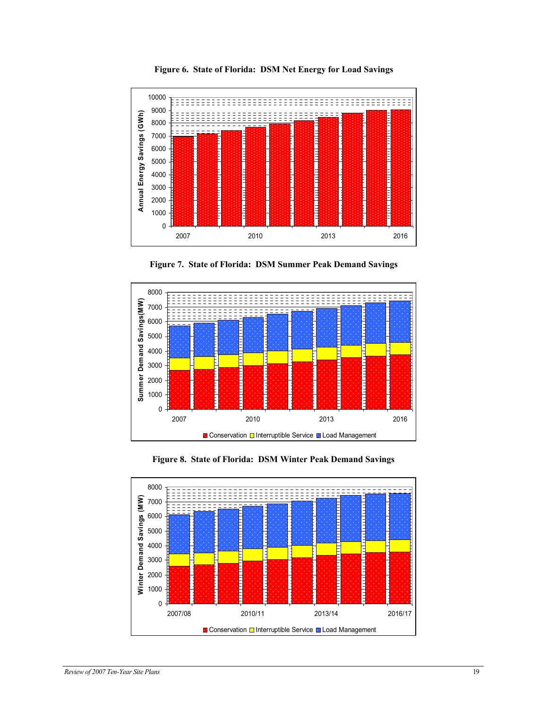<span id="page-24-0"></span>

**Figure 6. State of Florida: DSM Net Energy for Load Savings** 





**Figure 8. State of Florida: DSM Winter Peak Demand Savings** 

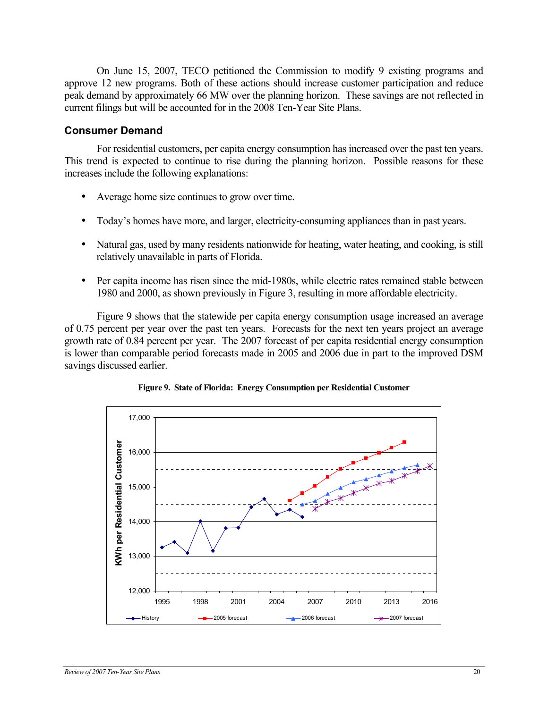<span id="page-25-0"></span>On June 15, 2007, TECO petitioned the Commission to modify 9 existing programs and approve 12 new programs. Both of these actions should increase customer participation and reduce peak demand by approximately 66 MW over the planning horizon. These savings are not reflected in current filings but will be accounted for in the 2008 Ten-Year Site Plans.

### **Consumer Demand**

For residential customers, per capita energy consumption has increased over the past ten years. This trend is expected to continue to rise during the planning horizon. Possible reasons for these increases include the following explanations:

- Average home size continues to grow over time.
- Today's homes have more, and larger, electricity-consuming appliances than in past years.
- Natural gas, used by many residents nationwide for heating, water heating, and cooking, is still relatively unavailable in parts of Florida.
- Per capita income has risen since the mid-1980s, while electric rates remained stable between 1980 and 2000, as shown previously in Figure 3, resulting in more affordable electricity.

Figure 9 shows that the statewide per capita energy consumption usage increased an average of 0.75 percent per year over the past ten years. Forecasts for the next ten years project an average growth rate of 0.84 percent per year. The 2007 forecast of per capita residential energy consumption is lower than comparable period forecasts made in 2005 and 2006 due in part to the improved DSM savings discussed earlier.



**Figure 9. State of Florida: Energy Consumption per Residential Customer**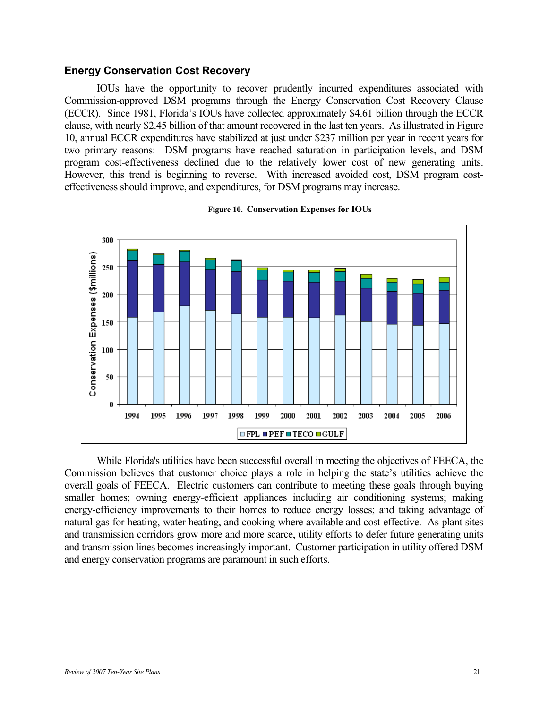### <span id="page-26-0"></span>**Energy Conservation Cost Recovery**

IOUs have the opportunity to recover prudently incurred expenditures associated with Commission-approved DSM programs through the Energy Conservation Cost Recovery Clause (ECCR). Since 1981, Florida's IOUs have collected approximately \$4.61 billion through the ECCR clause, with nearly \$2.45 billion of that amount recovered in the last ten years. As illustrated in Figure 10, annual ECCR expenditures have stabilized at just under \$237 million per year in recent years for two primary reasons: DSM programs have reached saturation in participation levels, and DSM program cost-effectiveness declined due to the relatively lower cost of new generating units. However, this trend is beginning to reverse. With increased avoided cost, DSM program costeffectiveness should improve, and expenditures, for DSM programs may increase.



#### **Figure 10. Conservation Expenses for IOUs**

While Florida's utilities have been successful overall in meeting the objectives of FEECA, the Commission believes that customer choice plays a role in helping the state's utilities achieve the overall goals of FEECA. Electric customers can contribute to meeting these goals through buying smaller homes; owning energy-efficient appliances including air conditioning systems; making energy-efficiency improvements to their homes to reduce energy losses; and taking advantage of natural gas for heating, water heating, and cooking where available and cost-effective. As plant sites and transmission corridors grow more and more scarce, utility efforts to defer future generating units and transmission lines becomes increasingly important. Customer participation in utility offered DSM and energy conservation programs are paramount in such efforts.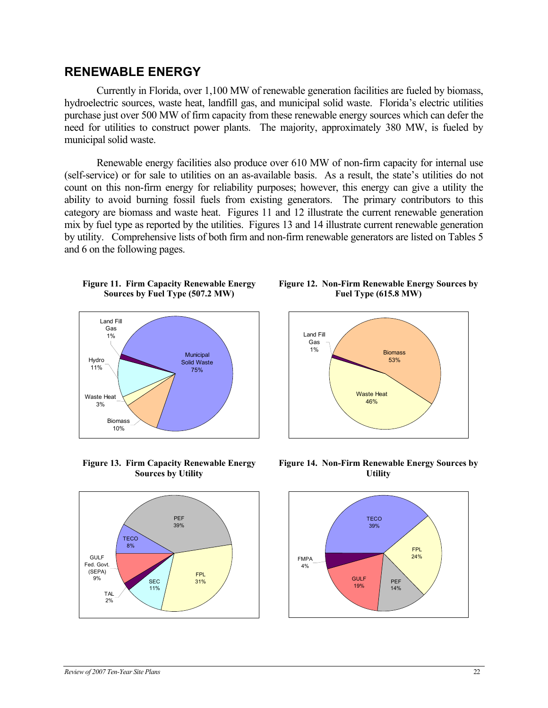### <span id="page-27-0"></span>**RENEWABLE ENERGY**

Currently in Florida, over 1,100 MW of renewable generation facilities are fueled by biomass, hydroelectric sources, waste heat, landfill gas, and municipal solid waste. Florida's electric utilities purchase just over 500 MW of firm capacity from these renewable energy sources which can defer the need for utilities to construct power plants. The majority, approximately 380 MW, is fueled by municipal solid waste.

Renewable energy facilities also produce over 610 MW of non-firm capacity for internal use (self-service) or for sale to utilities on an as-available basis. As a result, the state's utilities do not count on this non-firm energy for reliability purposes; however, this energy can give a utility the ability to avoid burning fossil fuels from existing generators. The primary contributors to this category are biomass and waste heat. Figures 11 and 12 illustrate the current renewable generation mix by fuel type as reported by the utilities. Figures 13 and 14 illustrate current renewable generation by utility. Comprehensive lists of both firm and non-firm renewable generators are listed on Tables 5 and 6 on the following pages.

#### **Figure 11. Firm Capacity Renewable Energy Sources by Fuel Type (507.2 MW)**



**Figure 13. Firm Capacity Renewable Energy Sources by Utility**



**Figure 12. Non-Firm Renewable Energy Sources by Fuel Type (615.8 MW)** 



**Figure 14. Non-Firm Renewable Energy Sources by Utility**

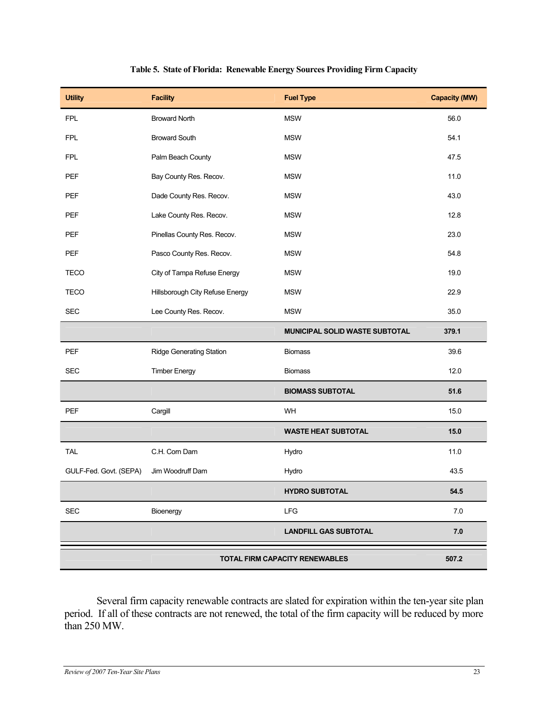<span id="page-28-0"></span>

| <b>Utility</b>                                 | <b>Facility</b>                 | <b>Fuel Type</b>               | <b>Capacity (MW)</b> |
|------------------------------------------------|---------------------------------|--------------------------------|----------------------|
| <b>FPL</b>                                     | <b>Broward North</b>            | <b>MSW</b>                     | 56.0                 |
| <b>FPL</b>                                     | <b>Broward South</b>            | <b>MSW</b>                     | 54.1                 |
| <b>FPL</b>                                     | Palm Beach County               | <b>MSW</b>                     | 47.5                 |
| PEF                                            | Bay County Res. Recov.          | <b>MSW</b>                     | 11.0                 |
| PEF                                            | Dade County Res. Recov.         | <b>MSW</b>                     | 43.0                 |
| PEF                                            | Lake County Res. Recov.         | <b>MSW</b>                     | 12.8                 |
| PEF                                            | Pinellas County Res. Recov.     | <b>MSW</b>                     | 23.0                 |
| PEF                                            | Pasco County Res. Recov.        | <b>MSW</b>                     | 54.8                 |
| <b>TECO</b>                                    | City of Tampa Refuse Energy     | <b>MSW</b>                     | 19.0                 |
| <b>TECO</b>                                    | Hillsborough City Refuse Energy | <b>MSW</b>                     | 22.9                 |
| <b>SEC</b>                                     | Lee County Res. Recov.          | <b>MSW</b>                     | 35.0                 |
|                                                |                                 | MUNICIPAL SOLID WASTE SUBTOTAL | 379.1                |
| PEF                                            | <b>Ridge Generating Station</b> | <b>Biomass</b>                 | 39.6                 |
| <b>SEC</b>                                     | <b>Timber Energy</b>            | <b>Biomass</b>                 | 12.0                 |
|                                                |                                 | <b>BIOMASS SUBTOTAL</b>        | 51.6                 |
| PEF                                            | Cargill                         | WH                             | 15.0                 |
|                                                |                                 | <b>WASTE HEAT SUBTOTAL</b>     | 15.0                 |
| <b>TAL</b>                                     | C.H. Corn Dam                   | Hydro                          | 11.0                 |
| GULF-Fed. Govt. (SEPA)                         | Jim Woodruff Dam                | Hydro                          | 43.5                 |
|                                                |                                 | <b>HYDRO SUBTOTAL</b>          | 54.5                 |
| <b>SEC</b>                                     | Bioenergy                       | LFG                            | 7.0                  |
|                                                |                                 | <b>LANDFILL GAS SUBTOTAL</b>   | 7.0                  |
| <b>TOTAL FIRM CAPACITY RENEWABLES</b><br>507.2 |                                 |                                |                      |

#### **Table 5. State of Florida: Renewable Energy Sources Providing Firm Capacity**

Several firm capacity renewable contracts are slated for expiration within the ten-year site plan period. If all of these contracts are not renewed, the total of the firm capacity will be reduced by more than 250 MW.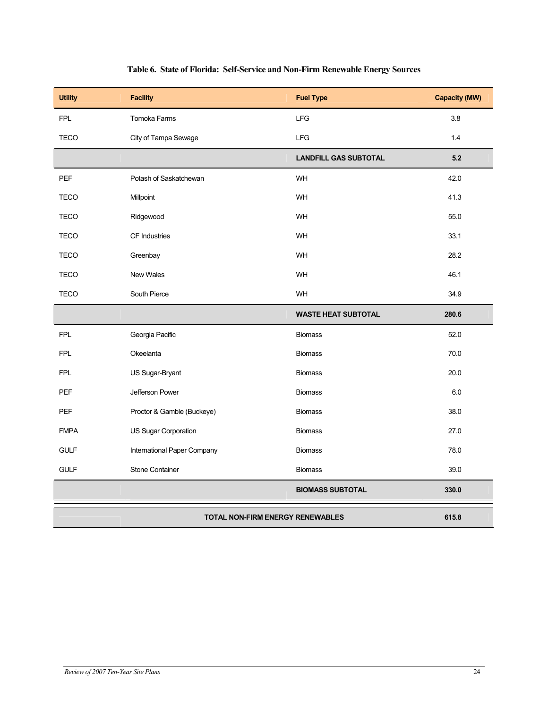<span id="page-29-0"></span>

| <b>Utility</b> | <b>Facility</b>                                  | <b>Fuel Type</b>             | <b>Capacity (MW)</b> |  |
|----------------|--------------------------------------------------|------------------------------|----------------------|--|
| <b>FPL</b>     | Tomoka Farms                                     | LFG                          | 3.8                  |  |
| <b>TECO</b>    | City of Tampa Sewage                             | LFG                          | 1.4                  |  |
|                |                                                  | <b>LANDFILL GAS SUBTOTAL</b> | 5.2                  |  |
| <b>PEF</b>     | Potash of Saskatchewan                           | WH                           | 42.0                 |  |
| <b>TECO</b>    | Millpoint                                        | WH                           | 41.3                 |  |
| <b>TECO</b>    | Ridgewood                                        | WH                           | 55.0                 |  |
| <b>TECO</b>    | CF Industries                                    | WH                           | 33.1                 |  |
| <b>TECO</b>    | Greenbay                                         | WH                           | 28.2                 |  |
| <b>TECO</b>    | New Wales                                        | WH                           | 46.1                 |  |
| <b>TECO</b>    | South Pierce                                     | WH                           | 34.9                 |  |
|                |                                                  | <b>WASTE HEAT SUBTOTAL</b>   | 280.6                |  |
| <b>FPL</b>     | Georgia Pacific                                  | <b>Biomass</b>               | 52.0                 |  |
| <b>FPL</b>     | Okeelanta                                        | <b>Biomass</b>               | 70.0                 |  |
| <b>FPL</b>     | US Sugar-Bryant                                  | <b>Biomass</b>               | 20.0                 |  |
| PEF            | Jefferson Power                                  | <b>Biomass</b>               | 6.0                  |  |
| <b>PEF</b>     | Proctor & Gamble (Buckeye)                       | <b>Biomass</b>               | 38.0                 |  |
| <b>FMPA</b>    | US Sugar Corporation                             | <b>Biomass</b>               | 27.0                 |  |
| <b>GULF</b>    | International Paper Company                      | <b>Biomass</b>               | 78.0                 |  |
| <b>GULF</b>    | <b>Stone Container</b>                           | <b>Biomass</b>               | 39.0                 |  |
|                |                                                  | <b>BIOMASS SUBTOTAL</b>      | 330.0                |  |
|                | <b>TOTAL NON-FIRM ENERGY RENEWABLES</b><br>615.8 |                              |                      |  |

### **Table 6. State of Florida: Self-Service and Non-Firm Renewable Energy Sources**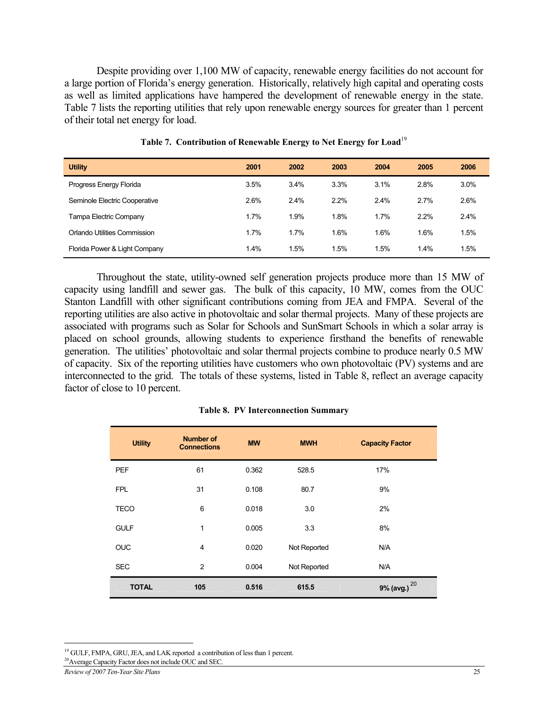<span id="page-30-0"></span>Despite providing over 1,100 MW of capacity, renewable energy facilities do not account for a large portion of Florida's energy generation. Historically, relatively high capital and operating costs as well as limited applications have hampered the development of renewable energy in the state. Table 7 lists the reporting utilities that rely upon renewable energy sources for greater than 1 percent of their total net energy for load.

| <b>Utility</b>                | 2001 | 2002 | 2003 | 2004 | 2005 | 2006 |
|-------------------------------|------|------|------|------|------|------|
| Progress Energy Florida       | 3.5% | 3.4% | 3.3% | 3.1% | 2.8% | 3.0% |
| Seminole Electric Cooperative | 2.6% | 2.4% | 2.2% | 2.4% | 2.7% | 2.6% |
| Tampa Electric Company        | 1.7% | 1.9% | 1.8% | 1.7% | 2.2% | 2.4% |
| Orlando Utilities Commission  | 1.7% | 1.7% | 1.6% | 1.6% | 1.6% | 1.5% |
| Florida Power & Light Company | 1.4% | 1.5% | 1.5% | 1.5% | 1.4% | 1.5% |

**Table 7. Contribution of Renewable Energy to Net Energy for Loa[d](#page-30-1)**<sup>19</sup>

Throughout the state, utility-owned self generation projects produce more than 15 MW of capacity using landfill and sewer gas. The bulk of this capacity, 10 MW, comes from the OUC Stanton Landfill with other significant contributions coming from JEA and FMPA. Several of the reporting utilities are also active in photovoltaic and solar thermal projects. Many of these projects are associated with programs such as Solar for Schools and SunSmart Schools in which a solar array is placed on school grounds, allowing students to experience firsthand the benefits of renewable generation. The utilities' photovoltaic and solar thermal projects combine to produce nearly 0.5 MW of capacity. Six of the reporting utilities have customers who own photovoltaic (PV) systems and are interconnected to the grid. The totals of these systems, listed in Table 8, reflect an average capacity factor of close to 10 percent.

|  |  | <b>Table 8. PV Interconnection Summary</b> |  |
|--|--|--------------------------------------------|--|
|--|--|--------------------------------------------|--|

| <b>Utility</b> | <b>Number of</b><br><b>Connections</b> | <b>MW</b> | <b>MWH</b>   | <b>Capacity Factor</b> |
|----------------|----------------------------------------|-----------|--------------|------------------------|
| <b>PEF</b>     | 61                                     | 0.362     | 528.5        | 17%                    |
| <b>FPL</b>     | 31                                     | 0.108     | 80.7         | 9%                     |
| <b>TECO</b>    | 6                                      | 0.018     | 3.0          | 2%                     |
| <b>GULF</b>    | 1                                      | 0.005     | 3.3          | 8%                     |
| <b>OUC</b>     | $\overline{4}$                         | 0.020     | Not Reported | N/A                    |
| <b>SEC</b>     | $\overline{2}$                         | 0.004     | Not Reported | N/A                    |
| <b>TOTAL</b>   | 105                                    | 0.516     | 615.5        | 20<br>9% (avg.)        |

 $\overline{a}$ 

<span id="page-30-1"></span><sup>&</sup>lt;sup>19</sup> GULF, FMPA, GRU, JEA, and LAK reported a contribution of less than 1 percent.

<span id="page-30-2"></span><sup>20</sup>Average Capacity Factor does not include OUC and SEC.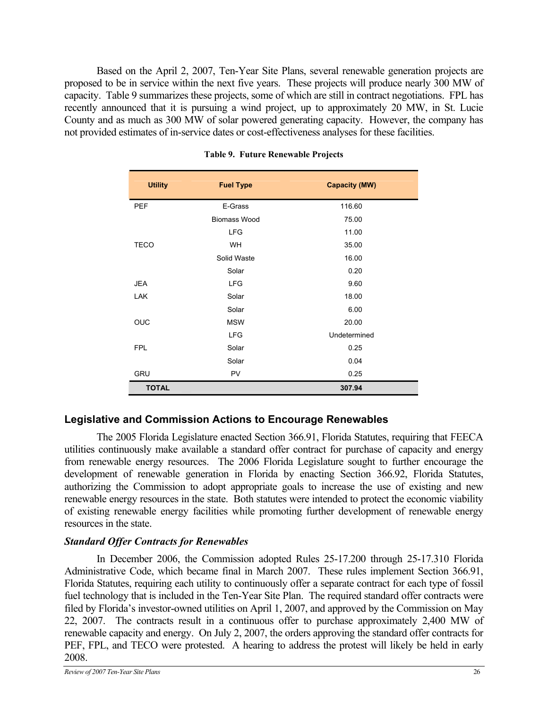<span id="page-31-0"></span>Based on the April 2, 2007, Ten-Year Site Plans, several renewable generation projects are proposed to be in service within the next five years. These projects will produce nearly 300 MW of capacity. Table 9 summarizes these projects, some of which are still in contract negotiations. FPL has recently announced that it is pursuing a wind project, up to approximately 20 MW, in St. Lucie County and as much as 300 MW of solar powered generating capacity. However, the company has not provided estimates of in-service dates or cost-effectiveness analyses for these facilities.

| <b>Utility</b> | <b>Fuel Type</b>    | <b>Capacity (MW)</b> |
|----------------|---------------------|----------------------|
| <b>PEF</b>     | E-Grass             | 116.60               |
|                | <b>Biomass Wood</b> | 75.00                |
|                | <b>LFG</b>          | 11.00                |
| <b>TECO</b>    | <b>WH</b>           | 35.00                |
|                | Solid Waste         | 16.00                |
|                | Solar               | 0.20                 |
| <b>JEA</b>     | <b>LFG</b>          | 9.60                 |
| <b>LAK</b>     | Solar               | 18.00                |
|                | Solar               | 6.00                 |
| <b>OUC</b>     | <b>MSW</b>          | 20.00                |
|                | <b>LFG</b>          | Undetermined         |
| <b>FPL</b>     | Solar               | 0.25                 |
|                | Solar               | 0.04                 |
| <b>GRU</b>     | PV                  | 0.25                 |
| <b>TOTAL</b>   |                     | 307.94               |

### **Table 9. Future Renewable Projects**

### **Legislative and Commission Actions to Encourage Renewables**

The 2005 Florida Legislature enacted Section 366.91, Florida Statutes, requiring that FEECA utilities continuously make available a standard offer contract for purchase of capacity and energy from renewable energy resources. The 2006 Florida Legislature sought to further encourage the development of renewable generation in Florida by enacting Section 366.92, Florida Statutes, authorizing the Commission to adopt appropriate goals to increase the use of existing and new renewable energy resources in the state. Both statutes were intended to protect the economic viability of existing renewable energy facilities while promoting further development of renewable energy resources in the state.

### *Standard Offer Contracts for Renewables*

In December 2006, the Commission adopted Rules 25-17.200 through 25-17.310 Florida Administrative Code, which became final in March 2007. These rules implement Section 366.91, Florida Statutes, requiring each utility to continuously offer a separate contract for each type of fossil fuel technology that is included in the Ten-Year Site Plan. The required standard offer contracts were filed by Florida's investor-owned utilities on April 1, 2007, and approved by the Commission on May 22, 2007. The contracts result in a continuous offer to purchase approximately 2,400 MW of renewable capacity and energy. On July 2, 2007, the orders approving the standard offer contracts for PEF, FPL, and TECO were protested. A hearing to address the protest will likely be held in early 2008.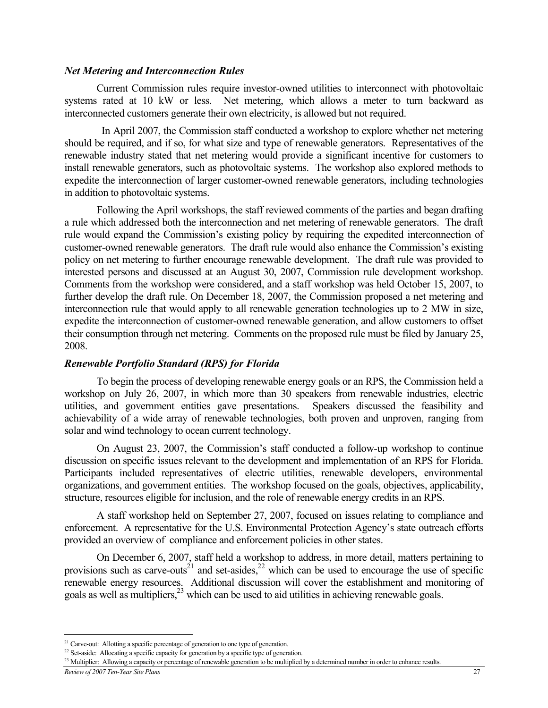### *Net Metering and Interconnection Rules*

Current Commission rules require investor-owned utilities to interconnect with photovoltaic systems rated at 10 kW or less. Net metering, which allows a meter to turn backward as interconnected customers generate their own electricity, is allowed but not required.

In April 2007, the Commission staff conducted a workshop to explore whether net metering should be required, and if so, for what size and type of renewable generators. Representatives of the renewable industry stated that net metering would provide a significant incentive for customers to install renewable generators, such as photovoltaic systems. The workshop also explored methods to expedite the interconnection of larger customer-owned renewable generators, including technologies in addition to photovoltaic systems.

Following the April workshops, the staff reviewed comments of the parties and began drafting a rule which addressed both the interconnection and net metering of renewable generators. The draft rule would expand the Commission's existing policy by requiring the expedited interconnection of customer-owned renewable generators. The draft rule would also enhance the Commission's existing policy on net metering to further encourage renewable development. The draft rule was provided to interested persons and discussed at an August 30, 2007, Commission rule development workshop. Comments from the workshop were considered, and a staff workshop was held October 15, 2007, to further develop the draft rule. On December 18, 2007, the Commission proposed a net metering and interconnection rule that would apply to all renewable generation technologies up to 2 MW in size, expedite the interconnection of customer-owned renewable generation, and allow customers to offset their consumption through net metering. Comments on the proposed rule must be filed by January 25, 2008.

### *Renewable Portfolio Standard (RPS) for Florida*

To begin the process of developing renewable energy goals or an RPS, the Commission held a workshop on July 26, 2007, in which more than 30 speakers from renewable industries, electric utilities, and government entities gave presentations. Speakers discussed the feasibility and achievability of a wide array of renewable technologies, both proven and unproven, ranging from solar and wind technology to ocean current technology.

On August 23, 2007, the Commission's staff conducted a follow-up workshop to continue discussion on specific issues relevant to the development and implementation of an RPS for Florida. Participants included representatives of electric utilities, renewable developers, environmental organizations, and government entities. The workshop focused on the goals, objectives, applicability, structure, resources eligible for inclusion, and the role of renewable energy credits in an RPS.

A staff workshop held on September 27, 2007, focused on issues relating to compliance and enforcement. A representative for the U.S. Environmental Protection Agency's state outreach efforts provided an overview of compliance and enforcement policies in other states.

On December 6, 2007, staff held a workshop to address, in more detail, matters pertaining to provisions such as carve-outs<sup>21</sup> and set-asides,<sup>22</sup> which can be used to encourage the use of specific renewable energy resources. Additional discussion will cover the establishment and monitoring of goals as well as multipliers,<sup>23</sup> which can be used to aid utilities in achieving renewable goals.

 $\overline{a}$ 

<span id="page-32-0"></span><sup>&</sup>lt;sup>21</sup> Carve-out: Allotting a specific percentage of generation to one type of generation.

<span id="page-32-1"></span><sup>&</sup>lt;sup>22</sup> Set-aside: Allocating a specific capacity for generation by a specific type of generation.

<span id="page-32-2"></span><sup>&</sup>lt;sup>23</sup> Multiplier: Allowing a capacity or percentage of renewable generation to be multiplied by a determined number in order to enhance results.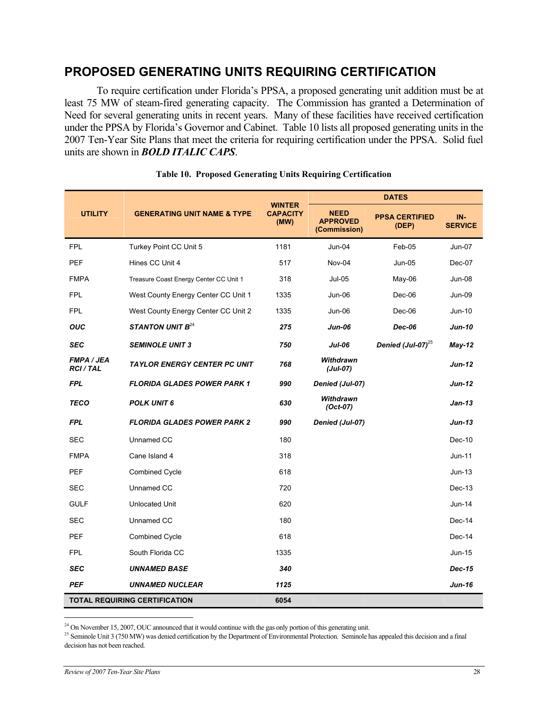## <span id="page-33-0"></span>**PROPOSED GENERATING UNITS REQUIRING CERTIFICATION**

To require certification under Florida's PPSA, a proposed generating unit addition must be at least 75 MW of steam-fired generating capacity. The Commission has granted a Determination of Need for several generating units in recent years. Many of these facilities have received certification under the PPSA by Florida's Governor and Cabinet. Table 10 lists all proposed generating units in the 2007 Ten-Year Site Plans that meet the criteria for requiring certification under the PPSA. Solid fuel units are shown in *BOLD ITALIC CAPS*.

|                                     | <b>GENERATING UNIT NAME &amp; TYPE</b> |                                          | <b>DATES</b>                                   |                                |                       |  |
|-------------------------------------|----------------------------------------|------------------------------------------|------------------------------------------------|--------------------------------|-----------------------|--|
| <b>UTILITY</b>                      |                                        | <b>WINTER</b><br><b>CAPACITY</b><br>(MW) | <b>NEED</b><br><b>APPROVED</b><br>(Commission) | <b>PPSA CERTIFIED</b><br>(DEP) | IN-<br><b>SERVICE</b> |  |
| <b>FPL</b>                          | Turkey Point CC Unit 5                 | 1181                                     | Jun-04                                         | Feb-05                         | <b>Jun-07</b>         |  |
| <b>PEF</b>                          | Hines CC Unit 4                        | 517                                      | Nov-04                                         | Jun-05                         | Dec-07                |  |
| <b>FMPA</b>                         | Treasure Coast Energy Center CC Unit 1 | 318                                      | <b>Jul-05</b>                                  | May-06                         | Jun-08                |  |
| <b>FPL</b>                          | West County Energy Center CC Unit 1    | 1335                                     | Jun-06                                         | Dec-06                         | Jun-09                |  |
| <b>FPL</b>                          | West County Energy Center CC Unit 2    | 1335                                     | Jun-06                                         | Dec-06                         | Jun-10                |  |
| <b>OUC</b>                          | <b>STANTON UNIT B</b> <sup>24</sup>    | 275                                      | Jun-06                                         | Dec-06                         | Jun-10                |  |
| <b>SEC</b>                          | <b>SEMINOLE UNIT 3</b>                 | 750                                      | <b>Jul-06</b>                                  | Denied $(Jul-07)^{25}$         | $May-12$              |  |
| <b>FMPA / JEA</b><br><b>RCI/TAL</b> | <b>TAYLOR ENERGY CENTER PC UNIT</b>    | 768                                      | Withdrawn<br>$(Jul-07)$                        |                                | <b>Jun-12</b>         |  |
| <b>FPL</b>                          | <b>FLORIDA GLADES POWER PARK 1</b>     | 990                                      | Denied (Jul-07)                                |                                | <b>Jun-12</b>         |  |
| <b>TECO</b>                         | <b>POLK UNIT 6</b>                     | 630                                      | Withdrawn<br>$(Oct-07)$                        |                                | Jan-13                |  |
| <b>FPL</b>                          | <b>FLORIDA GLADES POWER PARK 2</b>     | 990                                      | Denied (Jul-07)                                |                                | $Jun-13$              |  |
| <b>SEC</b>                          | Unnamed CC                             | 180                                      |                                                |                                | $Dec-10$              |  |
| <b>FMPA</b>                         | Cane Island 4                          | 318                                      |                                                |                                | Jun-11                |  |
| <b>PEF</b>                          | <b>Combined Cycle</b>                  | 618                                      |                                                |                                | Jun-13                |  |
| <b>SEC</b>                          | Unnamed CC                             | 720                                      |                                                |                                | Dec-13                |  |
| <b>GULF</b>                         | Unlocated Unit                         | 620                                      |                                                |                                | Jun-14                |  |
| <b>SEC</b>                          | Unnamed CC                             | 180                                      |                                                |                                | Dec-14                |  |
| <b>PEF</b>                          | <b>Combined Cycle</b>                  | 618                                      |                                                |                                | Dec-14                |  |
| <b>FPL</b>                          | South Florida CC                       | 1335                                     |                                                |                                | Jun-15                |  |
| <b>SEC</b>                          | <b>UNNAMED BASE</b>                    | 340                                      |                                                |                                | Dec-15                |  |
| <b>PEF</b>                          | <b>UNNAMED NUCLEAR</b>                 | 1125                                     |                                                |                                | <b>Jun-16</b>         |  |
|                                     | <b>TOTAL REQUIRING CERTIFICATION</b>   | 6054                                     |                                                |                                |                       |  |

### **Table 10. Proposed Generating Units Requiring Certification**

<span id="page-33-1"></span><sup>24</sup> On November 15, 2007, OUC announced that it would continue with the gas only portion of this generating unit.

<span id="page-33-2"></span><sup>&</sup>lt;sup>25</sup> Seminole Unit 3 (750 MW) was denied certification by the Department of Environmental Protection. Seminole has appealed this decision and a final decision has not been reached.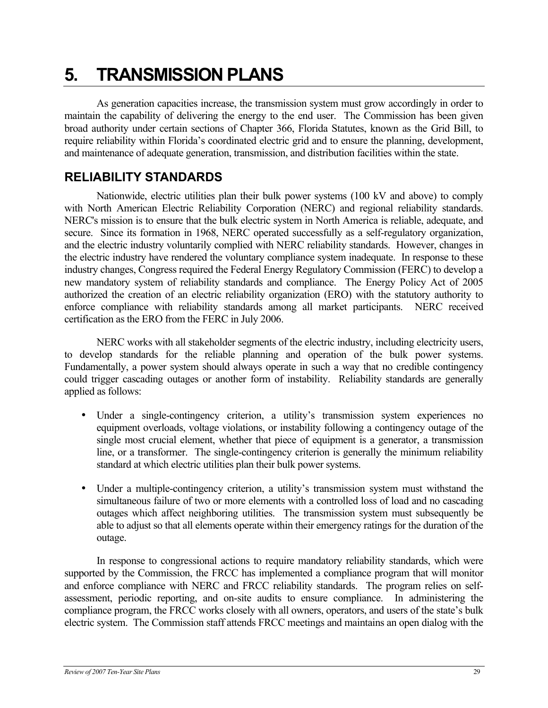# <span id="page-34-0"></span>**5. TRANSMISSION PLANS**

As generation capacities increase, the transmission system must grow accordingly in order to maintain the capability of delivering the energy to the end user. The Commission has been given broad authority under certain sections of Chapter 366, Florida Statutes, known as the Grid Bill, to require reliability within Florida's coordinated electric grid and to ensure the planning, development, and maintenance of adequate generation, transmission, and distribution facilities within the state.

## **RELIABILITY STANDARDS**

Nationwide, electric utilities plan their bulk power systems (100 kV and above) to comply with North American Electric Reliability Corporation (NERC) and regional reliability standards. NERC's mission is to ensure that the bulk electric system in North America is reliable, adequate, and secure. Since its formation in 1968, NERC operated successfully as a self-regulatory organization, and the electric industry voluntarily complied with NERC reliability standards. However, changes in the electric industry have rendered the voluntary compliance system inadequate. In response to these industry changes, Congress required the Federal Energy Regulatory Commission (FERC) to develop a new mandatory system of reliability standards and compliance. The Energy Policy Act of 2005 authorized the creation of an electric reliability organization (ERO) with the statutory authority to enforce compliance with reliability standards among all market participants. NERC received certification as the ERO from the FERC in July 2006.

NERC works with all stakeholder segments of the electric industry, including electricity users, to develop standards for the reliable planning and operation of the bulk power systems. Fundamentally, a power system should always operate in such a way that no credible contingency could trigger cascading outages or another form of instability. Reliability standards are generally applied as follows:

- Under a single-contingency criterion, a utility's transmission system experiences no equipment overloads, voltage violations, or instability following a contingency outage of the single most crucial element, whether that piece of equipment is a generator, a transmission line, or a transformer. The single-contingency criterion is generally the minimum reliability standard at which electric utilities plan their bulk power systems.
- Under a multiple-contingency criterion, a utility's transmission system must withstand the simultaneous failure of two or more elements with a controlled loss of load and no cascading outages which affect neighboring utilities. The transmission system must subsequently be able to adjust so that all elements operate within their emergency ratings for the duration of the outage.

In response to congressional actions to require mandatory reliability standards, which were supported by the Commission, the FRCC has implemented a compliance program that will monitor and enforce compliance with NERC and FRCC reliability standards. The program relies on selfassessment, periodic reporting, and on-site audits to ensure compliance. In administering the compliance program, the FRCC works closely with all owners, operators, and users of the state's bulk electric system. The Commission staff attends FRCC meetings and maintains an open dialog with the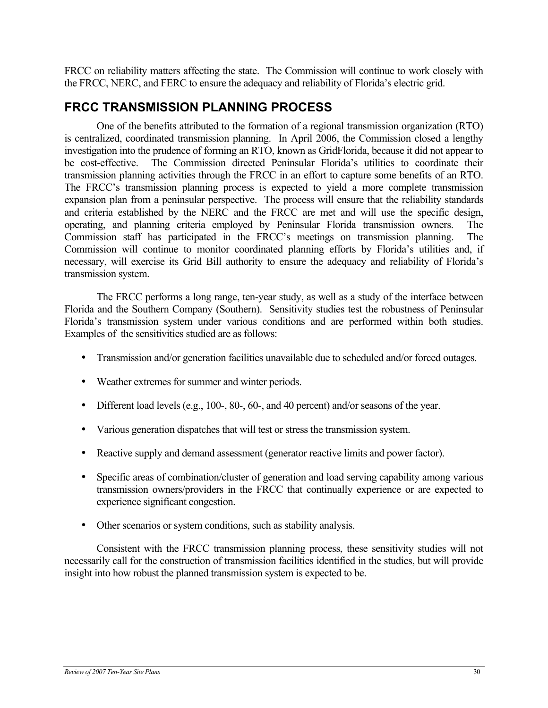<span id="page-35-0"></span>FRCC on reliability matters affecting the state. The Commission will continue to work closely with the FRCC, NERC, and FERC to ensure the adequacy and reliability of Florida's electric grid.

## **FRCC TRANSMISSION PLANNING PROCESS**

One of the benefits attributed to the formation of a regional transmission organization (RTO) is centralized, coordinated transmission planning. In April 2006, the Commission closed a lengthy investigation into the prudence of forming an RTO, known as GridFlorida, because it did not appear to be cost-effective. The Commission directed Peninsular Florida's utilities to coordinate their transmission planning activities through the FRCC in an effort to capture some benefits of an RTO. The FRCC's transmission planning process is expected to yield a more complete transmission expansion plan from a peninsular perspective. The process will ensure that the reliability standards and criteria established by the NERC and the FRCC are met and will use the specific design, operating, and planning criteria employed by Peninsular Florida transmission owners. The Commission staff has participated in the FRCC's meetings on transmission planning. The Commission will continue to monitor coordinated planning efforts by Florida's utilities and, if necessary, will exercise its Grid Bill authority to ensure the adequacy and reliability of Florida's transmission system.

The FRCC performs a long range, ten-year study, as well as a study of the interface between Florida and the Southern Company (Southern). Sensitivity studies test the robustness of Peninsular Florida's transmission system under various conditions and are performed within both studies. Examples of the sensitivities studied are as follows:

- Transmission and/or generation facilities unavailable due to scheduled and/or forced outages.
- Weather extremes for summer and winter periods.
- Different load levels (e.g., 100-, 80-, 60-, and 40 percent) and/or seasons of the year.
- Various generation dispatches that will test or stress the transmission system.
- Reactive supply and demand assessment (generator reactive limits and power factor).
- Specific areas of combination/cluster of generation and load serving capability among various transmission owners/providers in the FRCC that continually experience or are expected to experience significant congestion.
- Other scenarios or system conditions, such as stability analysis.

Consistent with the FRCC transmission planning process, these sensitivity studies will not necessarily call for the construction of transmission facilities identified in the studies, but will provide insight into how robust the planned transmission system is expected to be.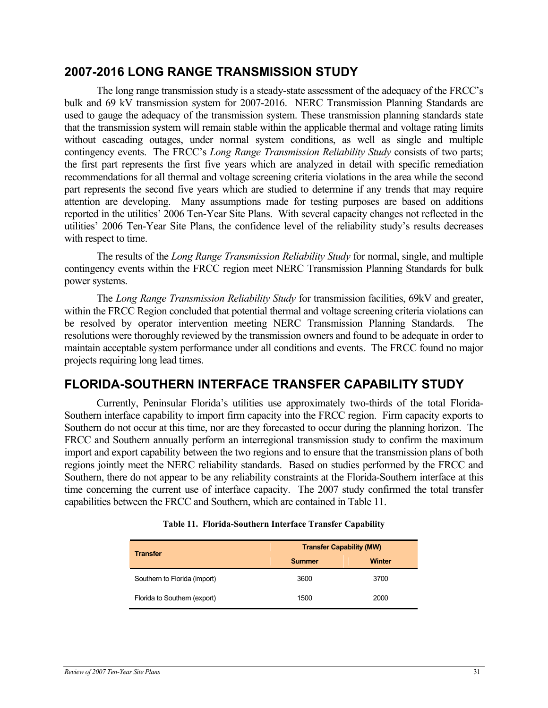### <span id="page-36-0"></span>**2007-2016 LONG RANGE TRANSMISSION STUDY**

The long range transmission study is a steady-state assessment of the adequacy of the FRCC's bulk and 69 kV transmission system for 2007-2016. NERC Transmission Planning Standards are used to gauge the adequacy of the transmission system. These transmission planning standards state that the transmission system will remain stable within the applicable thermal and voltage rating limits without cascading outages, under normal system conditions, as well as single and multiple contingency events. The FRCC's *Long Range Transmission Reliability Study* consists of two parts; the first part represents the first five years which are analyzed in detail with specific remediation recommendations for all thermal and voltage screening criteria violations in the area while the second part represents the second five years which are studied to determine if any trends that may require attention are developing. Many assumptions made for testing purposes are based on additions reported in the utilities' 2006 Ten-Year Site Plans. With several capacity changes not reflected in the utilities' 2006 Ten-Year Site Plans, the confidence level of the reliability study's results decreases with respect to time.

The results of the *Long Range Transmission Reliability Study* for normal, single, and multiple contingency events within the FRCC region meet NERC Transmission Planning Standards for bulk power systems.

The *Long Range Transmission Reliability Study* for transmission facilities, 69kV and greater, within the FRCC Region concluded that potential thermal and voltage screening criteria violations can be resolved by operator intervention meeting NERC Transmission Planning Standards. The resolutions were thoroughly reviewed by the transmission owners and found to be adequate in order to maintain acceptable system performance under all conditions and events. The FRCC found no major projects requiring long lead times.

## **FLORIDA-SOUTHERN INTERFACE TRANSFER CAPABILITY STUDY**

Currently, Peninsular Florida's utilities use approximately two-thirds of the total Florida-Southern interface capability to import firm capacity into the FRCC region. Firm capacity exports to Southern do not occur at this time, nor are they forecasted to occur during the planning horizon. The FRCC and Southern annually perform an interregional transmission study to confirm the maximum import and export capability between the two regions and to ensure that the transmission plans of both regions jointly meet the NERC reliability standards. Based on studies performed by the FRCC and Southern, there do not appear to be any reliability constraints at the Florida-Southern interface at this time concerning the current use of interface capacity. The 2007 study confirmed the total transfer capabilities between the FRCC and Southern, which are contained in Table 11.

| <b>Transfer</b>              | <b>Transfer Capability (MW)</b> |               |  |  |
|------------------------------|---------------------------------|---------------|--|--|
|                              | <b>Summer</b>                   | <b>Winter</b> |  |  |
| Southern to Florida (import) | 3600                            | 3700          |  |  |
| Florida to Southern (export) | 1500                            | 2000          |  |  |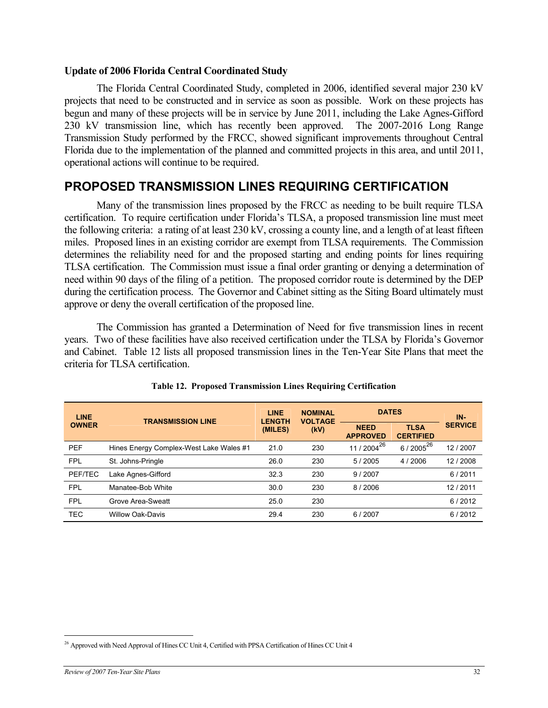### <span id="page-37-0"></span>**Update of 2006 Florida Central Coordinated Study**

The Florida Central Coordinated Study, completed in 2006, identified several major 230 kV projects that need to be constructed and in service as soon as possible. Work on these projects has begun and many of these projects will be in service by June 2011, including the Lake Agnes-Gifford 230 kV transmission line, which has recently been approved. The 2007-2016 Long Range Transmission Study performed by the FRCC, showed significant improvements throughout Central Florida due to the implementation of the planned and committed projects in this area, and until 2011, operational actions will continue to be required.

## **PROPOSED TRANSMISSION LINES REQUIRING CERTIFICATION**

Many of the transmission lines proposed by the FRCC as needing to be built require TLSA certification. To require certification under Florida's TLSA, a proposed transmission line must meet the following criteria: a rating of at least 230 kV, crossing a county line, and a length of at least fifteen miles. Proposed lines in an existing corridor are exempt from TLSA requirements. The Commission determines the reliability need for and the proposed starting and ending points for lines requiring TLSA certification. The Commission must issue a final order granting or denying a determination of need within 90 days of the filing of a petition. The proposed corridor route is determined by the DEP during the certification process. The Governor and Cabinet sitting as the Siting Board ultimately must approve or deny the overall certification of the proposed line.

The Commission has granted a Determination of Need for five transmission lines in recent years. Two of these facilities have also received certification under the TLSA by Florida's Governor and Cabinet. Table 12 lists all proposed transmission lines in the Ten-Year Site Plans that meet the criteria for TLSA certification.

| <b>LINE</b><br><b>OWNER</b> | <b>TRANSMISSION LINE</b>                | <b>LINE</b><br><b>LENGTH</b><br>(MILES) | <b>NOMINAL</b><br><b>VOLTAGE</b><br>(kV) | <b>DATES</b>                   |                                 | IN-            |
|-----------------------------|-----------------------------------------|-----------------------------------------|------------------------------------------|--------------------------------|---------------------------------|----------------|
|                             |                                         |                                         |                                          | <b>NEED</b><br><b>APPROVED</b> | <b>TLSA</b><br><b>CERTIFIED</b> | <b>SERVICE</b> |
| <b>PEF</b>                  | Hines Energy Complex-West Lake Wales #1 | 21.0                                    | 230                                      | 11 / 2004 <sup>26</sup>        | 6 / 2005 <sup>26</sup>          | 12/2007        |
| <b>FPL</b>                  | St. Johns-Pringle                       | 26.0                                    | 230                                      | 5/2005                         | 4 / 2006                        | 12/2008        |
| PEF/TEC                     | Lake Agnes-Gifford                      | 32.3                                    | 230                                      | 9/2007                         |                                 | 6/2011         |
| <b>FPL</b>                  | Manatee-Bob White                       | 30.0                                    | 230                                      | 8/2006                         |                                 | 12/2011        |
| <b>FPL</b>                  | Grove Area-Sweatt                       | 25.0                                    | 230                                      |                                |                                 | 6/2012         |
| <b>TEC</b>                  | <b>Willow Oak-Davis</b>                 | 29.4                                    | 230                                      | 6/2007                         |                                 | 6/2012         |

#### <span id="page-37-1"></span>**Table 12. Proposed Transmission Lines Requiring Certification**

 $\overline{a}$ 

<span id="page-37-2"></span><sup>&</sup>lt;sup>26</sup> Approved with Need Approval of Hines CC Unit 4, Certified with PPSA Certification of Hines CC Unit 4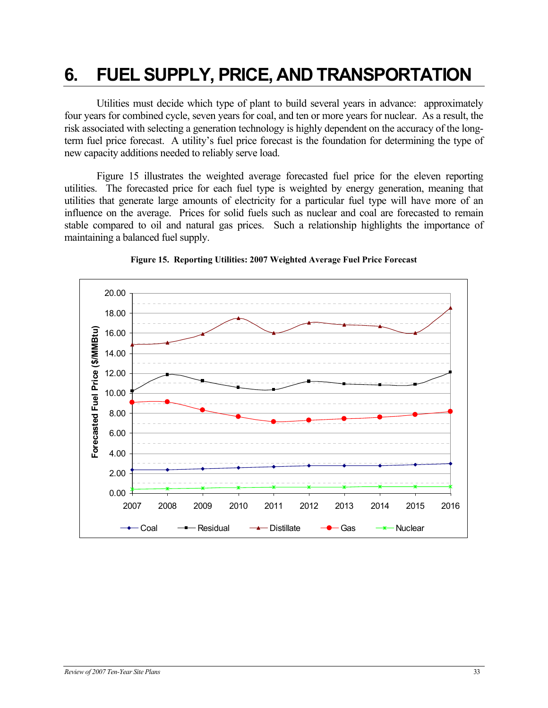# <span id="page-38-0"></span>**6. FUEL SUPPLY, PRICE, AND TRANSPORTATION**

Utilities must decide which type of plant to build several years in advance: approximately four years for combined cycle, seven years for coal, and ten or more years for nuclear. As a result, the risk associated with selecting a generation technology is highly dependent on the accuracy of the longterm fuel price forecast. A utility's fuel price forecast is the foundation for determining the type of new capacity additions needed to reliably serve load.

Figure 15 illustrates the weighted average forecasted fuel price for the eleven reporting utilities. The forecasted price for each fuel type is weighted by energy generation, meaning that utilities that generate large amounts of electricity for a particular fuel type will have more of an influence on the average. Prices for solid fuels such as nuclear and coal are forecasted to remain stable compared to oil and natural gas prices. Such a relationship highlights the importance of maintaining a balanced fuel supply.



**Figure 15. Reporting Utilities: 2007 Weighted Average Fuel Price Forecast**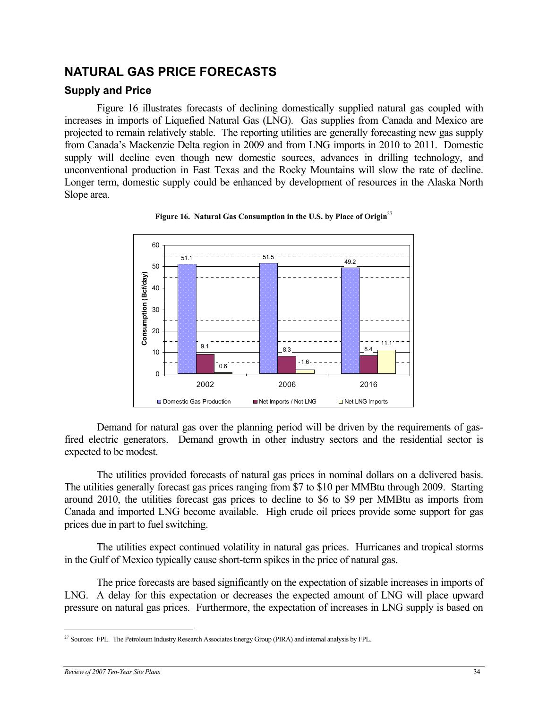## <span id="page-39-0"></span>**NATURAL GAS PRICE FORECASTS**

### **Supply and Price**

Figure 16 illustrates forecasts of declining domestically supplied natural gas coupled with increases in imports of Liquefied Natural Gas (LNG). Gas supplies from Canada and Mexico are projected to remain relatively stable. The reporting utilities are generally forecasting new gas supply from Canada's Mackenzie Delta region in 2009 and from LNG imports in 2010 to 2011. Domestic supply will decline even though new domestic sources, advances in drilling technology, and unconventional production in East Texas and the Rocky Mountains will slow the rate of decline. Longer term, domestic supply could be enhanced by development of resources in the Alaska North Slope area.



### **Figure 16. Natural Gas Consumption in the U.S. by Place of Origin**[27](#page-39-1)

Demand for natural gas over the planning period will be driven by the requirements of gasfired electric generators. Demand growth in other industry sectors and the residential sector is expected to be modest.

The utilities provided forecasts of natural gas prices in nominal dollars on a delivered basis. The utilities generally forecast gas prices ranging from \$7 to \$10 per MMBtu through 2009. Starting around 2010, the utilities forecast gas prices to decline to \$6 to \$9 per MMBtu as imports from Canada and imported LNG become available. High crude oil prices provide some support for gas prices due in part to fuel switching.

The utilities expect continued volatility in natural gas prices. Hurricanes and tropical storms in the Gulf of Mexico typically cause short-term spikes in the price of natural gas.

The price forecasts are based significantly on the expectation of sizable increases in imports of LNG. A delay for this expectation or decreases the expected amount of LNG will place upward pressure on natural gas prices. Furthermore, the expectation of increases in LNG supply is based on

<span id="page-39-1"></span><sup>&</sup>lt;u>.</u> <sup>27</sup> Sources: FPL. The Petroleum Industry Research Associates Energy Group (PIRA) and internal analysis by FPL.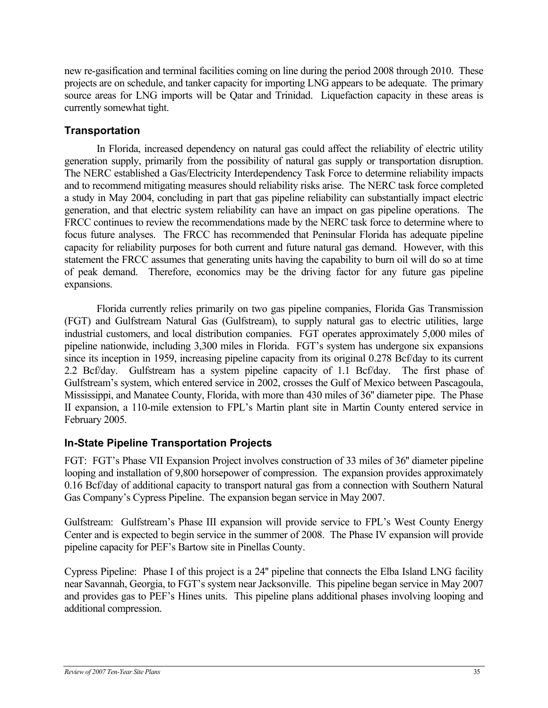new re-gasification and terminal facilities coming on line during the period 2008 through 2010. These projects are on schedule, and tanker capacity for importing LNG appears to be adequate. The primary source areas for LNG imports will be Qatar and Trinidad. Liquefaction capacity in these areas is currently somewhat tight.

### **Transportation**

In Florida, increased dependency on natural gas could affect the reliability of electric utility generation supply, primarily from the possibility of natural gas supply or transportation disruption. The NERC established a Gas/Electricity Interdependency Task Force to determine reliability impacts and to recommend mitigating measures should reliability risks arise. The NERC task force completed a study in May 2004, concluding in part that gas pipeline reliability can substantially impact electric generation, and that electric system reliability can have an impact on gas pipeline operations. The FRCC continues to review the recommendations made by the NERC task force to determine where to focus future analyses. The FRCC has recommended that Peninsular Florida has adequate pipeline capacity for reliability purposes for both current and future natural gas demand. However, with this statement the FRCC assumes that generating units having the capability to burn oil will do so at time of peak demand. Therefore, economics may be the driving factor for any future gas pipeline expansions.

Florida currently relies primarily on two gas pipeline companies, Florida Gas Transmission (FGT) and Gulfstream Natural Gas (Gulfstream), to supply natural gas to electric utilities, large industrial customers, and local distribution companies. FGT operates approximately 5,000 miles of pipeline nationwide, including 3,300 miles in Florida. FGT's system has undergone six expansions since its inception in 1959, increasing pipeline capacity from its original 0.278 Bcf/day to its current 2.2 Bcf/day. Gulfstream has a system pipeline capacity of 1.1 Bcf/day. The first phase of Gulfstream's system, which entered service in 2002, crosses the Gulf of Mexico between Pascagoula, Mississippi, and Manatee County, Florida, with more than 430 miles of 36'' diameter pipe. The Phase II expansion, a 110-mile extension to FPL's Martin plant site in Martin County entered service in February 2005.

### **In-State Pipeline Transportation Projects**

FGT: FGT's Phase VII Expansion Project involves construction of 33 miles of 36'' diameter pipeline looping and installation of 9,800 horsepower of compression. The expansion provides approximately 0.16 Bcf/day of additional capacity to transport natural gas from a connection with Southern Natural Gas Company's Cypress Pipeline. The expansion began service in May 2007.

Gulfstream: Gulfstream's Phase III expansion will provide service to FPL's West County Energy Center and is expected to begin service in the summer of 2008. The Phase IV expansion will provide pipeline capacity for PEF's Bartow site in Pinellas County.

Cypress Pipeline: Phase I of this project is a 24'' pipeline that connects the Elba Island LNG facility near Savannah, Georgia, to FGT's system near Jacksonville. This pipeline began service in May 2007 and provides gas to PEF's Hines units. This pipeline plans additional phases involving looping and additional compression.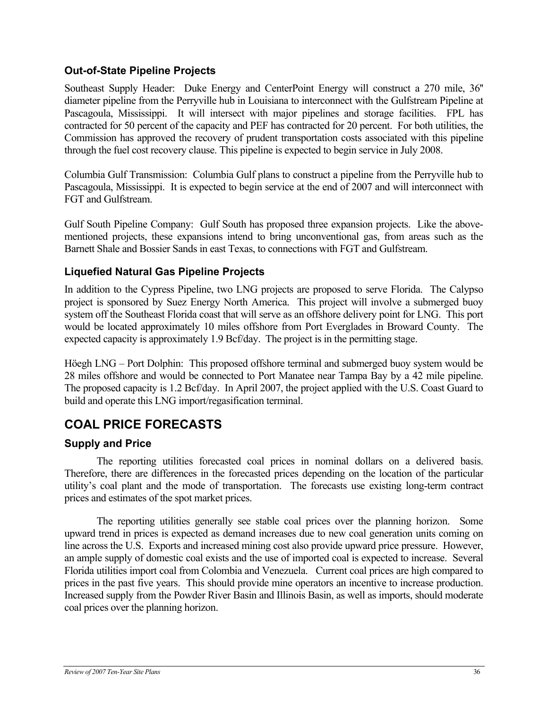### <span id="page-41-0"></span>**Out-of-State Pipeline Projects**

Southeast Supply Header: Duke Energy and CenterPoint Energy will construct a 270 mile, 36'' diameter pipeline from the Perryville hub in Louisiana to interconnect with the Gulfstream Pipeline at Pascagoula, Mississippi. It will intersect with major pipelines and storage facilities. FPL has contracted for 50 percent of the capacity and PEF has contracted for 20 percent. For both utilities, the Commission has approved the recovery of prudent transportation costs associated with this pipeline through the fuel cost recovery clause. This pipeline is expected to begin service in July 2008.

Columbia Gulf Transmission: Columbia Gulf plans to construct a pipeline from the Perryville hub to Pascagoula, Mississippi. It is expected to begin service at the end of 2007 and will interconnect with FGT and Gulfstream.

Gulf South Pipeline Company: Gulf South has proposed three expansion projects. Like the abovementioned projects, these expansions intend to bring unconventional gas, from areas such as the Barnett Shale and Bossier Sands in east Texas, to connections with FGT and Gulfstream.

### **Liquefied Natural Gas Pipeline Projects**

In addition to the Cypress Pipeline, two LNG projects are proposed to serve Florida. The Calypso project is sponsored by Suez Energy North America. This project will involve a submerged buoy system off the Southeast Florida coast that will serve as an offshore delivery point for LNG. This port would be located approximately 10 miles offshore from Port Everglades in Broward County. The expected capacity is approximately 1.9 Bcf/day. The project is in the permitting stage.

Höegh LNG – Port Dolphin: This proposed offshore terminal and submerged buoy system would be 28 miles offshore and would be connected to Port Manatee near Tampa Bay by a 42 mile pipeline. The proposed capacity is 1.2 Bcf/day. In April 2007, the project applied with the U.S. Coast Guard to build and operate this LNG import/regasification terminal.

## **COAL PRICE FORECASTS**

### **Supply and Price**

The reporting utilities forecasted coal prices in nominal dollars on a delivered basis. Therefore, there are differences in the forecasted prices depending on the location of the particular utility's coal plant and the mode of transportation. The forecasts use existing long-term contract prices and estimates of the spot market prices.

The reporting utilities generally see stable coal prices over the planning horizon. Some upward trend in prices is expected as demand increases due to new coal generation units coming on line across the U.S. Exports and increased mining cost also provide upward price pressure. However, an ample supply of domestic coal exists and the use of imported coal is expected to increase. Several Florida utilities import coal from Colombia and Venezuela. Current coal prices are high compared to prices in the past five years. This should provide mine operators an incentive to increase production. Increased supply from the Powder River Basin and Illinois Basin, as well as imports, should moderate coal prices over the planning horizon.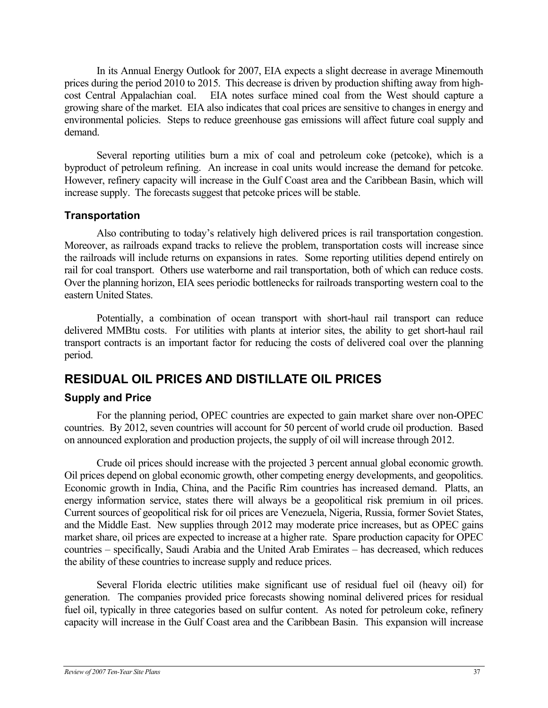<span id="page-42-0"></span>In its Annual Energy Outlook for 2007, EIA expects a slight decrease in average Minemouth prices during the period 2010 to 2015. This decrease is driven by production shifting away from highcost Central Appalachian coal. EIA notes surface mined coal from the West should capture a growing share of the market. EIA also indicates that coal prices are sensitive to changes in energy and environmental policies. Steps to reduce greenhouse gas emissions will affect future coal supply and demand.

 Several reporting utilities burn a mix of coal and petroleum coke (petcoke), which is a byproduct of petroleum refining. An increase in coal units would increase the demand for petcoke. However, refinery capacity will increase in the Gulf Coast area and the Caribbean Basin, which will increase supply. The forecasts suggest that petcoke prices will be stable.

### **Transportation**

Also contributing to today's relatively high delivered prices is rail transportation congestion. Moreover, as railroads expand tracks to relieve the problem, transportation costs will increase since the railroads will include returns on expansions in rates. Some reporting utilities depend entirely on rail for coal transport. Others use waterborne and rail transportation, both of which can reduce costs. Over the planning horizon, EIA sees periodic bottlenecks for railroads transporting western coal to the eastern United States.

Potentially, a combination of ocean transport with short-haul rail transport can reduce delivered MMBtu costs. For utilities with plants at interior sites, the ability to get short-haul rail transport contracts is an important factor for reducing the costs of delivered coal over the planning period.

## **RESIDUAL OIL PRICES AND DISTILLATE OIL PRICES**

### **Supply and Price**

For the planning period, OPEC countries are expected to gain market share over non-OPEC countries. By 2012, seven countries will account for 50 percent of world crude oil production. Based on announced exploration and production projects, the supply of oil will increase through 2012.

Crude oil prices should increase with the projected 3 percent annual global economic growth. Oil prices depend on global economic growth, other competing energy developments, and geopolitics. Economic growth in India, China, and the Pacific Rim countries has increased demand. Platts, an energy information service, states there will always be a geopolitical risk premium in oil prices. Current sources of geopolitical risk for oil prices are Venezuela, Nigeria, Russia, former Soviet States, and the Middle East. New supplies through 2012 may moderate price increases, but as OPEC gains market share, oil prices are expected to increase at a higher rate. Spare production capacity for OPEC countries – specifically, Saudi Arabia and the United Arab Emirates – has decreased, which reduces the ability of these countries to increase supply and reduce prices.

Several Florida electric utilities make significant use of residual fuel oil (heavy oil) for generation. The companies provided price forecasts showing nominal delivered prices for residual fuel oil, typically in three categories based on sulfur content. As noted for petroleum coke, refinery capacity will increase in the Gulf Coast area and the Caribbean Basin. This expansion will increase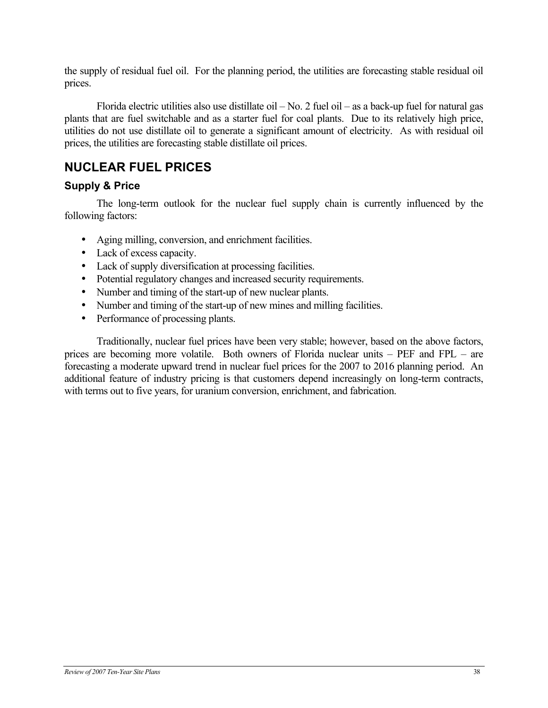<span id="page-43-0"></span>the supply of residual fuel oil. For the planning period, the utilities are forecasting stable residual oil prices.

 Florida electric utilities also use distillate oil – No. 2 fuel oil – as a back-up fuel for natural gas plants that are fuel switchable and as a starter fuel for coal plants. Due to its relatively high price, utilities do not use distillate oil to generate a significant amount of electricity. As with residual oil prices, the utilities are forecasting stable distillate oil prices.

## **NUCLEAR FUEL PRICES**

### **Supply & Price**

The long-term outlook for the nuclear fuel supply chain is currently influenced by the following factors:

- Aging milling, conversion, and enrichment facilities.
- Lack of excess capacity.
- Lack of supply diversification at processing facilities.
- Potential regulatory changes and increased security requirements.
- Number and timing of the start-up of new nuclear plants.
- Number and timing of the start-up of new mines and milling facilities.
- Performance of processing plants.

Traditionally, nuclear fuel prices have been very stable; however, based on the above factors, prices are becoming more volatile. Both owners of Florida nuclear units – PEF and FPL – are forecasting a moderate upward trend in nuclear fuel prices for the 2007 to 2016 planning period. An additional feature of industry pricing is that customers depend increasingly on long-term contracts, with terms out to five years, for uranium conversion, enrichment, and fabrication.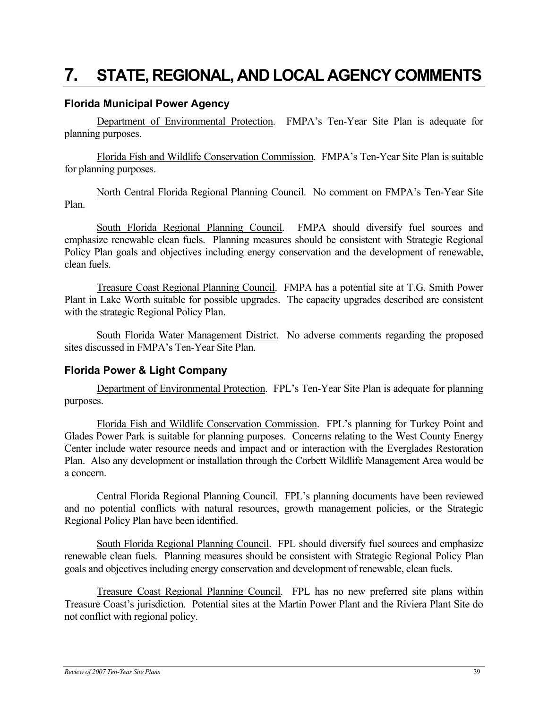## <span id="page-44-0"></span>**7. STATE, REGIONAL, AND LOCAL AGENCY COMMENTS**

### **Florida Municipal Power Agency**

Department of Environmental Protection. FMPA's Ten-Year Site Plan is adequate for planning purposes.

Florida Fish and Wildlife Conservation Commission. FMPA's Ten-Year Site Plan is suitable for planning purposes.

North Central Florida Regional Planning Council. No comment on FMPA's Ten-Year Site Plan.

South Florida Regional Planning Council. FMPA should diversify fuel sources and emphasize renewable clean fuels. Planning measures should be consistent with Strategic Regional Policy Plan goals and objectives including energy conservation and the development of renewable, clean fuels.

Treasure Coast Regional Planning Council. FMPA has a potential site at T.G. Smith Power Plant in Lake Worth suitable for possible upgrades. The capacity upgrades described are consistent with the strategic Regional Policy Plan.

South Florida Water Management District. No adverse comments regarding the proposed sites discussed in FMPA's Ten-Year Site Plan.

### **Florida Power & Light Company**

Department of Environmental Protection. FPL's Ten-Year Site Plan is adequate for planning purposes.

Florida Fish and Wildlife Conservation Commission. FPL's planning for Turkey Point and Glades Power Park is suitable for planning purposes. Concerns relating to the West County Energy Center include water resource needs and impact and or interaction with the Everglades Restoration Plan. Also any development or installation through the Corbett Wildlife Management Area would be a concern.

Central Florida Regional Planning Council. FPL's planning documents have been reviewed and no potential conflicts with natural resources, growth management policies, or the Strategic Regional Policy Plan have been identified.

South Florida Regional Planning Council. FPL should diversify fuel sources and emphasize renewable clean fuels. Planning measures should be consistent with Strategic Regional Policy Plan goals and objectives including energy conservation and development of renewable, clean fuels.

Treasure Coast Regional Planning Council. FPL has no new preferred site plans within Treasure Coast's jurisdiction. Potential sites at the Martin Power Plant and the Riviera Plant Site do not conflict with regional policy.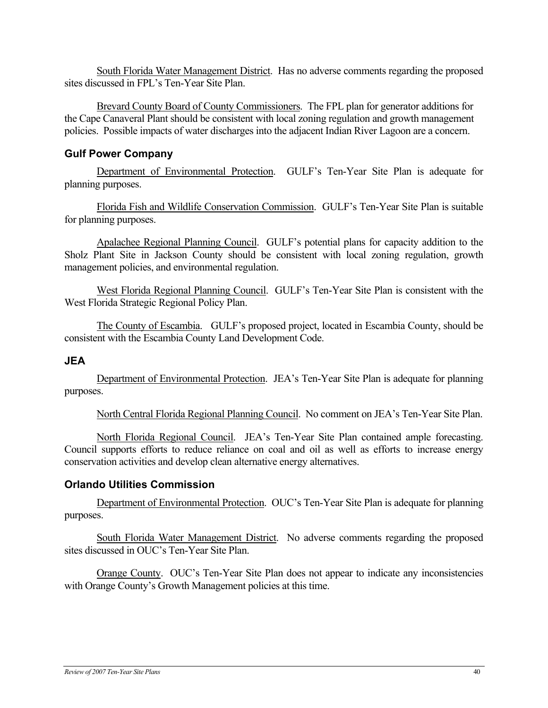South Florida Water Management District. Has no adverse comments regarding the proposed sites discussed in FPL's Ten-Year Site Plan.

Brevard County Board of County Commissioners. The FPL plan for generator additions for the Cape Canaveral Plant should be consistent with local zoning regulation and growth management policies. Possible impacts of water discharges into the adjacent Indian River Lagoon are a concern.

### **Gulf Power Company**

Department of Environmental Protection. GULF's Ten-Year Site Plan is adequate for planning purposes.

Florida Fish and Wildlife Conservation Commission. GULF's Ten-Year Site Plan is suitable for planning purposes.

Apalachee Regional Planning Council. GULF's potential plans for capacity addition to the Sholz Plant Site in Jackson County should be consistent with local zoning regulation, growth management policies, and environmental regulation.

West Florida Regional Planning Council. GULF's Ten-Year Site Plan is consistent with the West Florida Strategic Regional Policy Plan.

The County of Escambia. GULF's proposed project, located in Escambia County, should be consistent with the Escambia County Land Development Code.

### **JEA**

Department of Environmental Protection. JEA's Ten-Year Site Plan is adequate for planning purposes.

North Central Florida Regional Planning Council. No comment on JEA's Ten-Year Site Plan.

North Florida Regional Council. JEA's Ten-Year Site Plan contained ample forecasting. Council supports efforts to reduce reliance on coal and oil as well as efforts to increase energy conservation activities and develop clean alternative energy alternatives.

### **Orlando Utilities Commission**

Department of Environmental Protection. OUC's Ten-Year Site Plan is adequate for planning purposes.

South Florida Water Management District. No adverse comments regarding the proposed sites discussed in OUC's Ten-Year Site Plan.

Orange County. OUC's Ten-Year Site Plan does not appear to indicate any inconsistencies with Orange County's Growth Management policies at this time.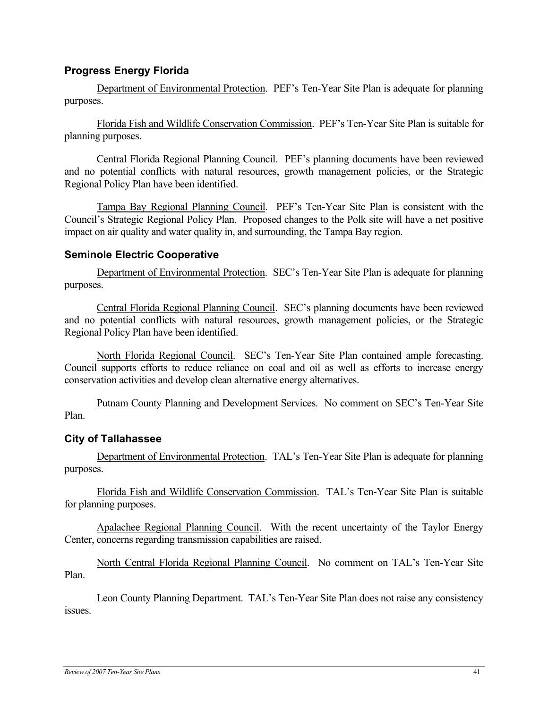### **Progress Energy Florida**

Department of Environmental Protection. PEF's Ten-Year Site Plan is adequate for planning purposes.

Florida Fish and Wildlife Conservation Commission. PEF's Ten-Year Site Plan is suitable for planning purposes.

Central Florida Regional Planning Council. PEF's planning documents have been reviewed and no potential conflicts with natural resources, growth management policies, or the Strategic Regional Policy Plan have been identified.

Tampa Bay Regional Planning Council. PEF's Ten-Year Site Plan is consistent with the Council's Strategic Regional Policy Plan. Proposed changes to the Polk site will have a net positive impact on air quality and water quality in, and surrounding, the Tampa Bay region.

### **Seminole Electric Cooperative**

Department of Environmental Protection. SEC's Ten-Year Site Plan is adequate for planning purposes.

Central Florida Regional Planning Council. SEC's planning documents have been reviewed and no potential conflicts with natural resources, growth management policies, or the Strategic Regional Policy Plan have been identified.

North Florida Regional Council. SEC's Ten-Year Site Plan contained ample forecasting. Council supports efforts to reduce reliance on coal and oil as well as efforts to increase energy conservation activities and develop clean alternative energy alternatives.

Putnam County Planning and Development Services. No comment on SEC's Ten-Year Site Plan.

### **City of Tallahassee**

Department of Environmental Protection. TAL's Ten-Year Site Plan is adequate for planning purposes.

Florida Fish and Wildlife Conservation Commission. TAL's Ten-Year Site Plan is suitable for planning purposes.

Apalachee Regional Planning Council. With the recent uncertainty of the Taylor Energy Center, concerns regarding transmission capabilities are raised.

North Central Florida Regional Planning Council. No comment on TAL's Ten-Year Site Plan.

Leon County Planning Department. TAL's Ten-Year Site Plan does not raise any consistency issues.